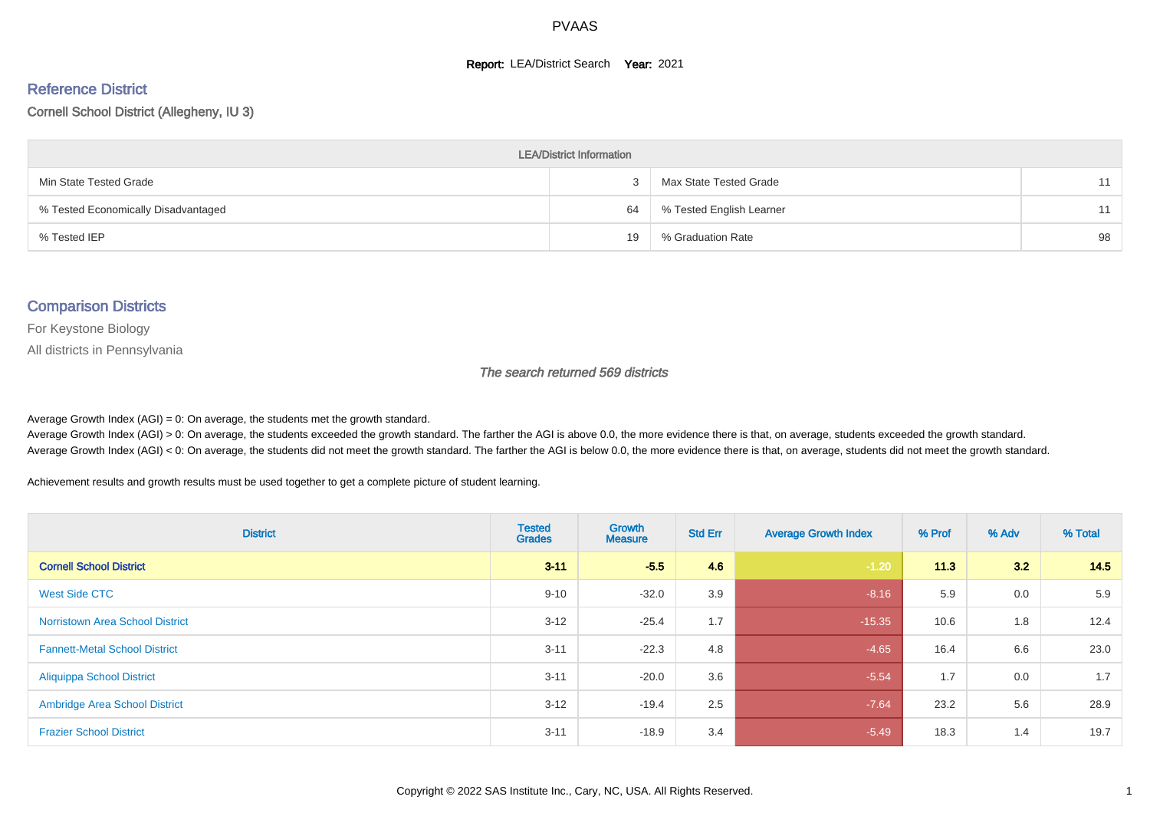#### **Report: LEA/District Search Year: 2021**

#### Reference District

#### Cornell School District (Allegheny, IU 3)

| <b>LEA/District Information</b>     |    |                          |    |  |  |  |  |  |  |  |
|-------------------------------------|----|--------------------------|----|--|--|--|--|--|--|--|
| Min State Tested Grade              |    | Max State Tested Grade   | 11 |  |  |  |  |  |  |  |
| % Tested Economically Disadvantaged | 64 | % Tested English Learner | 11 |  |  |  |  |  |  |  |
| % Tested IEP                        | 19 | % Graduation Rate        | 98 |  |  |  |  |  |  |  |

#### Comparison Districts

For Keystone Biology

All districts in Pennsylvania

The search returned 569 districts

Average Growth Index  $(AGI) = 0$ : On average, the students met the growth standard.

Average Growth Index (AGI) > 0: On average, the students exceeded the growth standard. The farther the AGI is above 0.0, the more evidence there is that, on average, students exceeded the growth standard. Average Growth Index (AGI) < 0: On average, the students did not meet the growth standard. The farther the AGI is below 0.0, the more evidence there is that, on average, students did not meet the growth standard.

Achievement results and growth results must be used together to get a complete picture of student learning.

| <b>District</b>                        | <b>Tested</b><br><b>Grades</b> | Growth<br><b>Measure</b> | <b>Std Err</b> | <b>Average Growth Index</b> | % Prof | % Adv | % Total |
|----------------------------------------|--------------------------------|--------------------------|----------------|-----------------------------|--------|-------|---------|
| <b>Cornell School District</b>         | $3 - 11$                       | $-5.5$                   | 4.6            | $-1.20$                     | 11.3   | 3.2   | 14.5    |
| West Side CTC                          | $9 - 10$                       | $-32.0$                  | 3.9            | $-8.16$                     | 5.9    | 0.0   | 5.9     |
| <b>Norristown Area School District</b> | $3 - 12$                       | $-25.4$                  | 1.7            | $-15.35$                    | 10.6   | 1.8   | 12.4    |
| <b>Fannett-Metal School District</b>   | $3 - 11$                       | $-22.3$                  | 4.8            | $-4.65$                     | 16.4   | 6.6   | 23.0    |
| <b>Aliquippa School District</b>       | $3 - 11$                       | $-20.0$                  | 3.6            | $-5.54$                     | 1.7    | 0.0   | 1.7     |
| <b>Ambridge Area School District</b>   | $3 - 12$                       | $-19.4$                  | 2.5            | $-7.64$                     | 23.2   | 5.6   | 28.9    |
| <b>Frazier School District</b>         | $3 - 11$                       | $-18.9$                  | 3.4            | $-5.49$                     | 18.3   | 1.4   | 19.7    |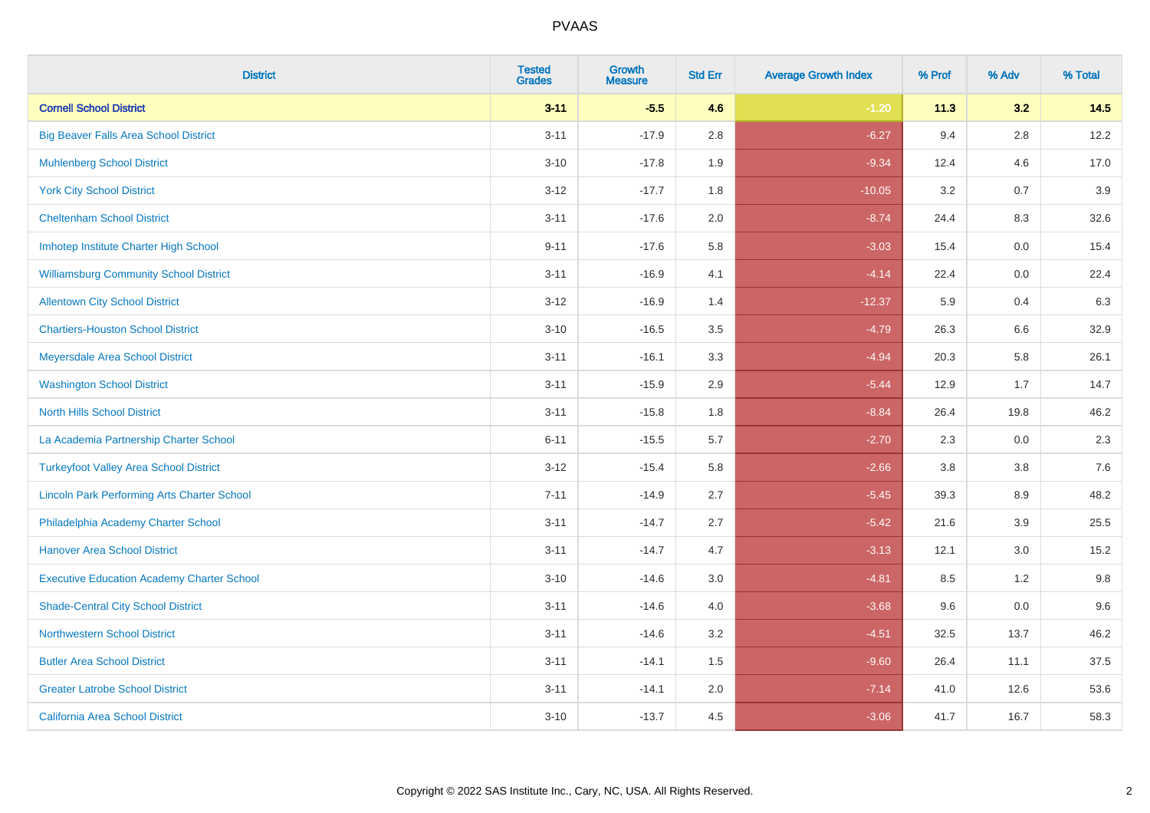| <b>District</b>                                    | <b>Tested</b><br><b>Grades</b> | Growth<br><b>Measure</b> | <b>Std Err</b> | <b>Average Growth Index</b> | % Prof | % Adv   | % Total |
|----------------------------------------------------|--------------------------------|--------------------------|----------------|-----------------------------|--------|---------|---------|
| <b>Cornell School District</b>                     | $3 - 11$                       | $-5.5$                   | 4.6            | $-1.20$                     | 11.3   | 3.2     | 14.5    |
| <b>Big Beaver Falls Area School District</b>       | $3 - 11$                       | $-17.9$                  | 2.8            | $-6.27$                     | 9.4    | 2.8     | 12.2    |
| <b>Muhlenberg School District</b>                  | $3 - 10$                       | $-17.8$                  | 1.9            | $-9.34$                     | 12.4   | 4.6     | 17.0    |
| <b>York City School District</b>                   | $3 - 12$                       | $-17.7$                  | 1.8            | $-10.05$                    | 3.2    | 0.7     | 3.9     |
| <b>Cheltenham School District</b>                  | $3 - 11$                       | $-17.6$                  | 2.0            | $-8.74$                     | 24.4   | 8.3     | 32.6    |
| Imhotep Institute Charter High School              | $9 - 11$                       | $-17.6$                  | 5.8            | $-3.03$                     | 15.4   | 0.0     | 15.4    |
| <b>Williamsburg Community School District</b>      | $3 - 11$                       | $-16.9$                  | 4.1            | $-4.14$                     | 22.4   | $0.0\,$ | 22.4    |
| <b>Allentown City School District</b>              | $3 - 12$                       | $-16.9$                  | 1.4            | $-12.37$                    | 5.9    | 0.4     | 6.3     |
| <b>Chartiers-Houston School District</b>           | $3 - 10$                       | $-16.5$                  | 3.5            | $-4.79$                     | 26.3   | 6.6     | 32.9    |
| Meyersdale Area School District                    | $3 - 11$                       | $-16.1$                  | 3.3            | $-4.94$                     | 20.3   | 5.8     | 26.1    |
| <b>Washington School District</b>                  | $3 - 11$                       | $-15.9$                  | 2.9            | $-5.44$                     | 12.9   | 1.7     | 14.7    |
| <b>North Hills School District</b>                 | $3 - 11$                       | $-15.8$                  | 1.8            | $-8.84$                     | 26.4   | 19.8    | 46.2    |
| La Academia Partnership Charter School             | $6 - 11$                       | $-15.5$                  | 5.7            | $-2.70$                     | 2.3    | 0.0     | 2.3     |
| <b>Turkeyfoot Valley Area School District</b>      | $3-12$                         | $-15.4$                  | 5.8            | $-2.66$                     | 3.8    | $3.8\,$ | 7.6     |
| <b>Lincoln Park Performing Arts Charter School</b> | $7 - 11$                       | $-14.9$                  | 2.7            | $-5.45$                     | 39.3   | 8.9     | 48.2    |
| Philadelphia Academy Charter School                | $3 - 11$                       | $-14.7$                  | 2.7            | $-5.42$                     | 21.6   | 3.9     | 25.5    |
| <b>Hanover Area School District</b>                | $3 - 11$                       | $-14.7$                  | 4.7            | $-3.13$                     | 12.1   | 3.0     | 15.2    |
| <b>Executive Education Academy Charter School</b>  | $3 - 10$                       | $-14.6$                  | 3.0            | $-4.81$                     | 8.5    | 1.2     | 9.8     |
| <b>Shade-Central City School District</b>          | $3 - 11$                       | $-14.6$                  | 4.0            | $-3.68$                     | 9.6    | 0.0     | 9.6     |
| <b>Northwestern School District</b>                | $3 - 11$                       | $-14.6$                  | 3.2            | $-4.51$                     | 32.5   | 13.7    | 46.2    |
| <b>Butler Area School District</b>                 | $3 - 11$                       | $-14.1$                  | 1.5            | $-9.60$                     | 26.4   | 11.1    | 37.5    |
| <b>Greater Latrobe School District</b>             | $3 - 11$                       | $-14.1$                  | 2.0            | $-7.14$                     | 41.0   | 12.6    | 53.6    |
| <b>California Area School District</b>             | $3 - 10$                       | $-13.7$                  | 4.5            | $-3.06$                     | 41.7   | 16.7    | 58.3    |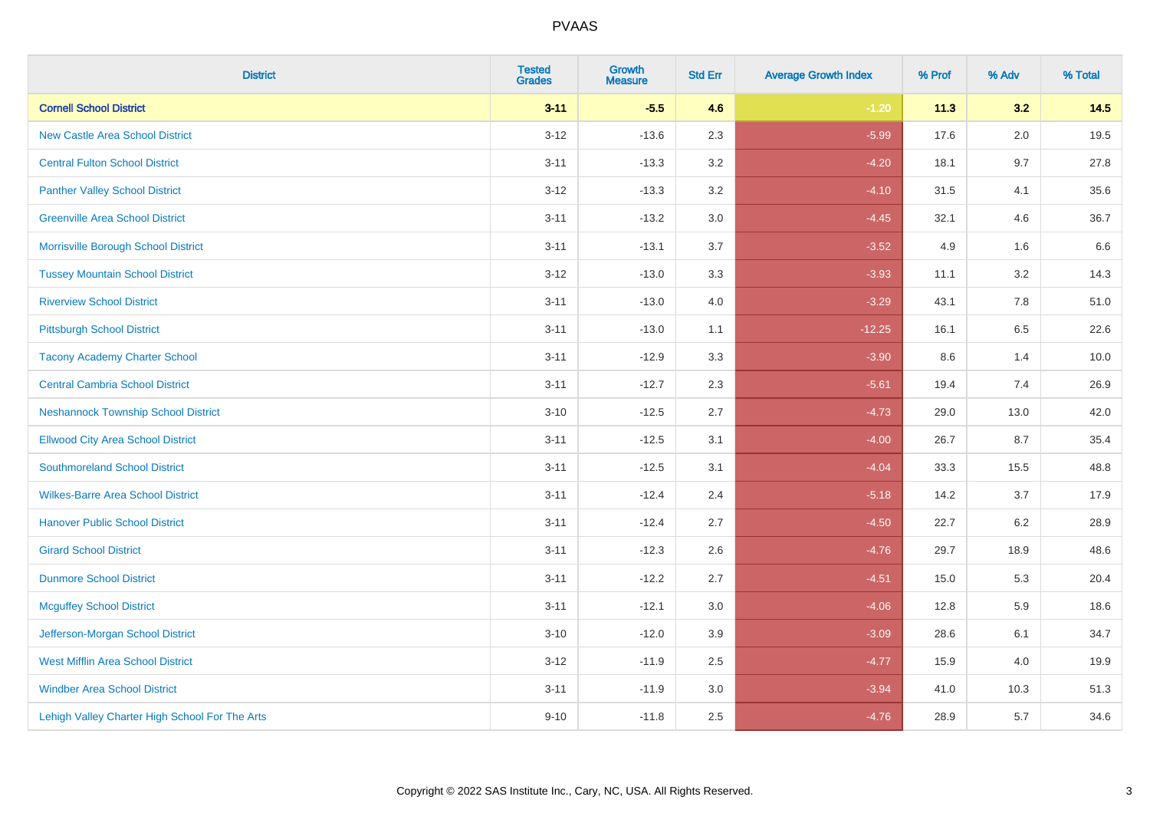| <b>District</b>                                | <b>Tested</b><br><b>Grades</b> | Growth<br><b>Measure</b> | <b>Std Err</b> | <b>Average Growth Index</b> | % Prof | % Adv | % Total |
|------------------------------------------------|--------------------------------|--------------------------|----------------|-----------------------------|--------|-------|---------|
| <b>Cornell School District</b>                 | $3 - 11$                       | $-5.5$                   | 4.6            | $-1.20$                     | 11.3   | 3.2   | 14.5    |
| <b>New Castle Area School District</b>         | $3 - 12$                       | $-13.6$                  | 2.3            | $-5.99$                     | 17.6   | 2.0   | 19.5    |
| <b>Central Fulton School District</b>          | $3 - 11$                       | $-13.3$                  | 3.2            | $-4.20$                     | 18.1   | 9.7   | 27.8    |
| <b>Panther Valley School District</b>          | $3 - 12$                       | $-13.3$                  | 3.2            | $-4.10$                     | 31.5   | 4.1   | 35.6    |
| <b>Greenville Area School District</b>         | $3 - 11$                       | $-13.2$                  | 3.0            | $-4.45$                     | 32.1   | 4.6   | 36.7    |
| Morrisville Borough School District            | $3 - 11$                       | $-13.1$                  | 3.7            | $-3.52$                     | 4.9    | 1.6   | 6.6     |
| <b>Tussey Mountain School District</b>         | $3 - 12$                       | $-13.0$                  | 3.3            | $-3.93$                     | 11.1   | 3.2   | 14.3    |
| <b>Riverview School District</b>               | $3 - 11$                       | $-13.0$                  | 4.0            | $-3.29$                     | 43.1   | 7.8   | 51.0    |
| <b>Pittsburgh School District</b>              | $3 - 11$                       | $-13.0$                  | 1.1            | $-12.25$                    | 16.1   | 6.5   | 22.6    |
| <b>Tacony Academy Charter School</b>           | $3 - 11$                       | $-12.9$                  | 3.3            | $-3.90$                     | 8.6    | 1.4   | 10.0    |
| <b>Central Cambria School District</b>         | $3 - 11$                       | $-12.7$                  | 2.3            | $-5.61$                     | 19.4   | 7.4   | 26.9    |
| <b>Neshannock Township School District</b>     | $3 - 10$                       | $-12.5$                  | 2.7            | $-4.73$                     | 29.0   | 13.0  | 42.0    |
| <b>Ellwood City Area School District</b>       | $3 - 11$                       | $-12.5$                  | 3.1            | $-4.00$                     | 26.7   | 8.7   | 35.4    |
| <b>Southmoreland School District</b>           | $3 - 11$                       | $-12.5$                  | 3.1            | $-4.04$                     | 33.3   | 15.5  | 48.8    |
| <b>Wilkes-Barre Area School District</b>       | $3 - 11$                       | $-12.4$                  | 2.4            | $-5.18$                     | 14.2   | 3.7   | 17.9    |
| <b>Hanover Public School District</b>          | $3 - 11$                       | $-12.4$                  | 2.7            | $-4.50$                     | 22.7   | 6.2   | 28.9    |
| <b>Girard School District</b>                  | $3 - 11$                       | $-12.3$                  | 2.6            | $-4.76$                     | 29.7   | 18.9  | 48.6    |
| <b>Dunmore School District</b>                 | $3 - 11$                       | $-12.2$                  | 2.7            | $-4.51$                     | 15.0   | 5.3   | 20.4    |
| <b>Mcguffey School District</b>                | $3 - 11$                       | $-12.1$                  | 3.0            | $-4.06$                     | 12.8   | 5.9   | 18.6    |
| Jefferson-Morgan School District               | $3 - 10$                       | $-12.0$                  | 3.9            | $-3.09$                     | 28.6   | 6.1   | 34.7    |
| West Mifflin Area School District              | $3-12$                         | $-11.9$                  | 2.5            | $-4.77$                     | 15.9   | 4.0   | 19.9    |
| <b>Windber Area School District</b>            | $3 - 11$                       | $-11.9$                  | 3.0            | $-3.94$                     | 41.0   | 10.3  | 51.3    |
| Lehigh Valley Charter High School For The Arts | $9 - 10$                       | $-11.8$                  | 2.5            | $-4.76$                     | 28.9   | 5.7   | 34.6    |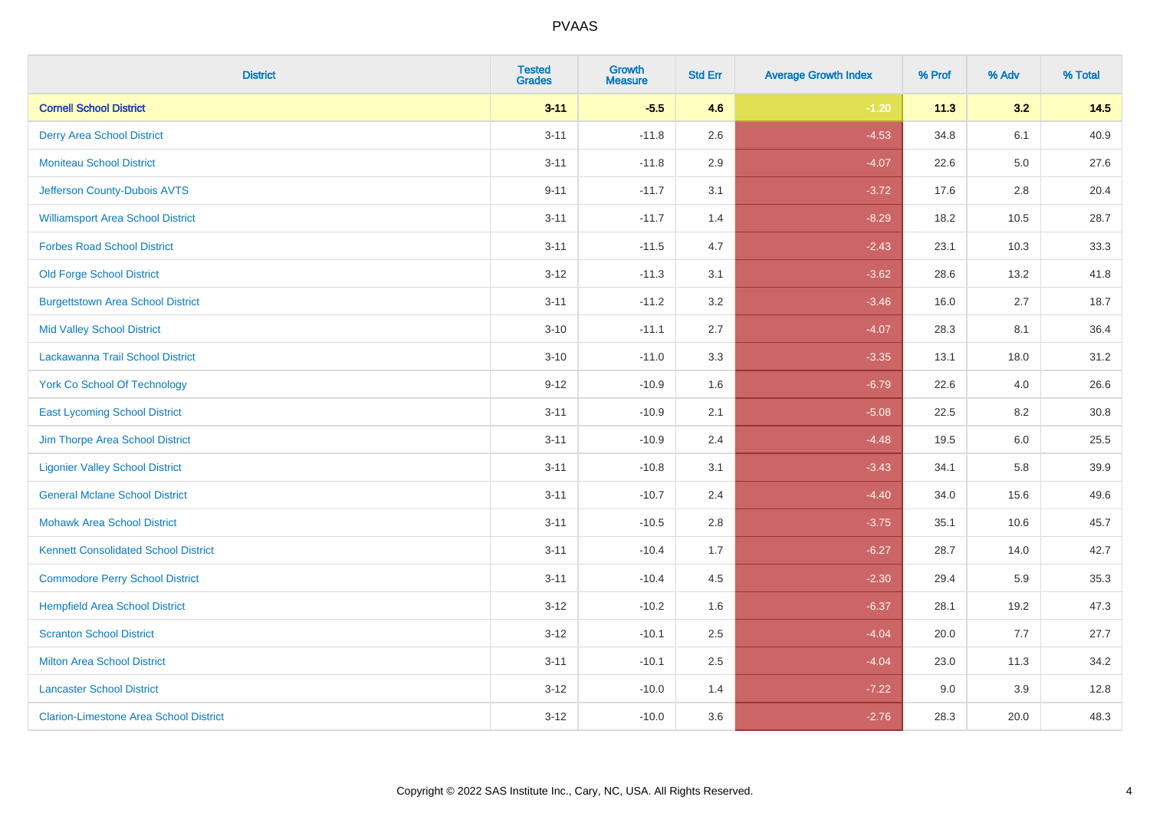| <b>District</b>                               | <b>Tested</b><br><b>Grades</b> | Growth<br><b>Measure</b> | <b>Std Err</b> | <b>Average Growth Index</b> | % Prof | % Adv   | % Total |
|-----------------------------------------------|--------------------------------|--------------------------|----------------|-----------------------------|--------|---------|---------|
| <b>Cornell School District</b>                | $3 - 11$                       | $-5.5$                   | 4.6            | $-1.20$                     | 11.3   | 3.2     | 14.5    |
| <b>Derry Area School District</b>             | $3 - 11$                       | $-11.8$                  | 2.6            | $-4.53$                     | 34.8   | 6.1     | 40.9    |
| <b>Moniteau School District</b>               | $3 - 11$                       | $-11.8$                  | 2.9            | $-4.07$                     | 22.6   | $5.0\,$ | 27.6    |
| Jefferson County-Dubois AVTS                  | $9 - 11$                       | $-11.7$                  | 3.1            | $-3.72$                     | 17.6   | $2.8\,$ | 20.4    |
| <b>Williamsport Area School District</b>      | $3 - 11$                       | $-11.7$                  | 1.4            | $-8.29$                     | 18.2   | 10.5    | 28.7    |
| <b>Forbes Road School District</b>            | $3 - 11$                       | $-11.5$                  | 4.7            | $-2.43$                     | 23.1   | 10.3    | 33.3    |
| <b>Old Forge School District</b>              | $3 - 12$                       | $-11.3$                  | 3.1            | $-3.62$                     | 28.6   | 13.2    | 41.8    |
| <b>Burgettstown Area School District</b>      | $3 - 11$                       | $-11.2$                  | 3.2            | $-3.46$                     | 16.0   | 2.7     | 18.7    |
| <b>Mid Valley School District</b>             | $3 - 10$                       | $-11.1$                  | 2.7            | $-4.07$                     | 28.3   | 8.1     | 36.4    |
| Lackawanna Trail School District              | $3 - 10$                       | $-11.0$                  | 3.3            | $-3.35$                     | 13.1   | 18.0    | 31.2    |
| <b>York Co School Of Technology</b>           | $9 - 12$                       | $-10.9$                  | 1.6            | $-6.79$                     | 22.6   | 4.0     | 26.6    |
| <b>East Lycoming School District</b>          | $3 - 11$                       | $-10.9$                  | 2.1            | $-5.08$                     | 22.5   | 8.2     | 30.8    |
| Jim Thorpe Area School District               | $3 - 11$                       | $-10.9$                  | 2.4            | $-4.48$                     | 19.5   | 6.0     | 25.5    |
| <b>Ligonier Valley School District</b>        | $3 - 11$                       | $-10.8$                  | 3.1            | $-3.43$                     | 34.1   | 5.8     | 39.9    |
| <b>General Mclane School District</b>         | $3 - 11$                       | $-10.7$                  | 2.4            | $-4.40$                     | 34.0   | 15.6    | 49.6    |
| <b>Mohawk Area School District</b>            | $3 - 11$                       | $-10.5$                  | 2.8            | $-3.75$                     | 35.1   | 10.6    | 45.7    |
| <b>Kennett Consolidated School District</b>   | $3 - 11$                       | $-10.4$                  | 1.7            | $-6.27$                     | 28.7   | 14.0    | 42.7    |
| <b>Commodore Perry School District</b>        | $3 - 11$                       | $-10.4$                  | 4.5            | $-2.30$                     | 29.4   | 5.9     | 35.3    |
| <b>Hempfield Area School District</b>         | $3 - 12$                       | $-10.2$                  | 1.6            | $-6.37$                     | 28.1   | 19.2    | 47.3    |
| <b>Scranton School District</b>               | $3-12$                         | $-10.1$                  | 2.5            | $-4.04$                     | 20.0   | 7.7     | 27.7    |
| <b>Milton Area School District</b>            | $3 - 11$                       | $-10.1$                  | 2.5            | $-4.04$                     | 23.0   | 11.3    | 34.2    |
| <b>Lancaster School District</b>              | $3 - 12$                       | $-10.0$                  | 1.4            | $-7.22$                     | 9.0    | 3.9     | 12.8    |
| <b>Clarion-Limestone Area School District</b> | $3-12$                         | $-10.0$                  | 3.6            | $-2.76$                     | 28.3   | 20.0    | 48.3    |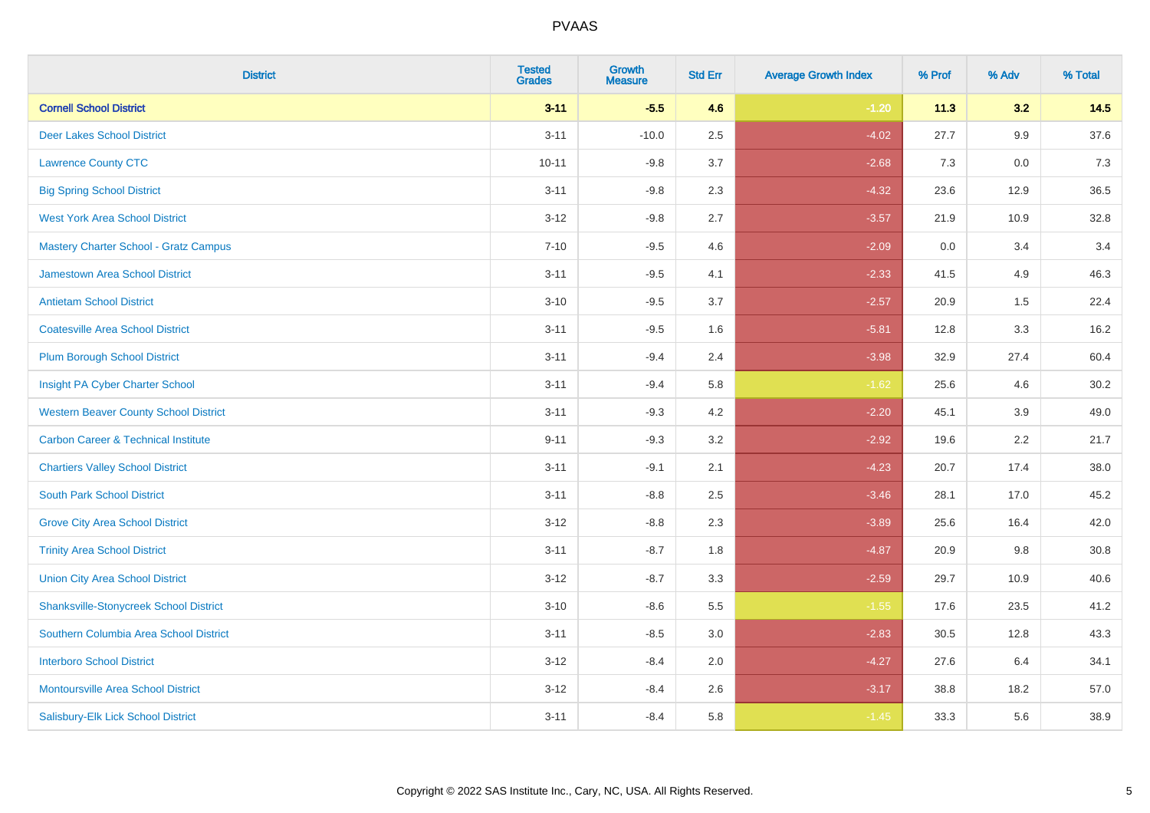| <b>District</b>                                | <b>Tested</b><br><b>Grades</b> | <b>Growth</b><br><b>Measure</b> | <b>Std Err</b> | <b>Average Growth Index</b> | % Prof | % Adv | % Total |
|------------------------------------------------|--------------------------------|---------------------------------|----------------|-----------------------------|--------|-------|---------|
| <b>Cornell School District</b>                 | $3 - 11$                       | $-5.5$                          | 4.6            | $-1.20$                     | 11.3   | 3.2   | 14.5    |
| <b>Deer Lakes School District</b>              | $3 - 11$                       | $-10.0$                         | 2.5            | $-4.02$                     | 27.7   | 9.9   | 37.6    |
| <b>Lawrence County CTC</b>                     | $10 - 11$                      | $-9.8$                          | 3.7            | $-2.68$                     | 7.3    | 0.0   | 7.3     |
| <b>Big Spring School District</b>              | $3 - 11$                       | $-9.8$                          | 2.3            | $-4.32$                     | 23.6   | 12.9  | 36.5    |
| <b>West York Area School District</b>          | $3 - 12$                       | $-9.8$                          | 2.7            | $-3.57$                     | 21.9   | 10.9  | 32.8    |
| <b>Mastery Charter School - Gratz Campus</b>   | $7 - 10$                       | $-9.5$                          | 4.6            | $-2.09$                     | 0.0    | 3.4   | 3.4     |
| Jamestown Area School District                 | $3 - 11$                       | $-9.5$                          | 4.1            | $-2.33$                     | 41.5   | 4.9   | 46.3    |
| <b>Antietam School District</b>                | $3 - 10$                       | $-9.5$                          | 3.7            | $-2.57$                     | 20.9   | 1.5   | 22.4    |
| <b>Coatesville Area School District</b>        | $3 - 11$                       | $-9.5$                          | 1.6            | $-5.81$                     | 12.8   | 3.3   | 16.2    |
| <b>Plum Borough School District</b>            | $3 - 11$                       | $-9.4$                          | 2.4            | $-3.98$                     | 32.9   | 27.4  | 60.4    |
| Insight PA Cyber Charter School                | $3 - 11$                       | $-9.4$                          | 5.8            | $-1.62$                     | 25.6   | 4.6   | 30.2    |
| <b>Western Beaver County School District</b>   | $3 - 11$                       | $-9.3$                          | 4.2            | $-2.20$                     | 45.1   | 3.9   | 49.0    |
| <b>Carbon Career &amp; Technical Institute</b> | $9 - 11$                       | $-9.3$                          | 3.2            | $-2.92$                     | 19.6   | 2.2   | 21.7    |
| <b>Chartiers Valley School District</b>        | $3 - 11$                       | $-9.1$                          | 2.1            | $-4.23$                     | 20.7   | 17.4  | 38.0    |
| <b>South Park School District</b>              | $3 - 11$                       | $-8.8$                          | 2.5            | $-3.46$                     | 28.1   | 17.0  | 45.2    |
| <b>Grove City Area School District</b>         | $3 - 12$                       | $-8.8$                          | 2.3            | $-3.89$                     | 25.6   | 16.4  | 42.0    |
| <b>Trinity Area School District</b>            | $3 - 11$                       | $-8.7$                          | 1.8            | $-4.87$                     | 20.9   | 9.8   | 30.8    |
| <b>Union City Area School District</b>         | $3 - 12$                       | $-8.7$                          | 3.3            | $-2.59$                     | 29.7   | 10.9  | 40.6    |
| <b>Shanksville-Stonycreek School District</b>  | $3 - 10$                       | $-8.6$                          | 5.5            | $-1.55$                     | 17.6   | 23.5  | 41.2    |
| Southern Columbia Area School District         | $3 - 11$                       | $-8.5$                          | 3.0            | $-2.83$                     | 30.5   | 12.8  | 43.3    |
| <b>Interboro School District</b>               | $3 - 12$                       | $-8.4$                          | 2.0            | $-4.27$                     | 27.6   | 6.4   | 34.1    |
| <b>Montoursville Area School District</b>      | $3 - 12$                       | $-8.4$                          | 2.6            | $-3.17$                     | 38.8   | 18.2  | 57.0    |
| Salisbury-Elk Lick School District             | $3 - 11$                       | $-8.4$                          | 5.8            | $-1.45$                     | 33.3   | 5.6   | 38.9    |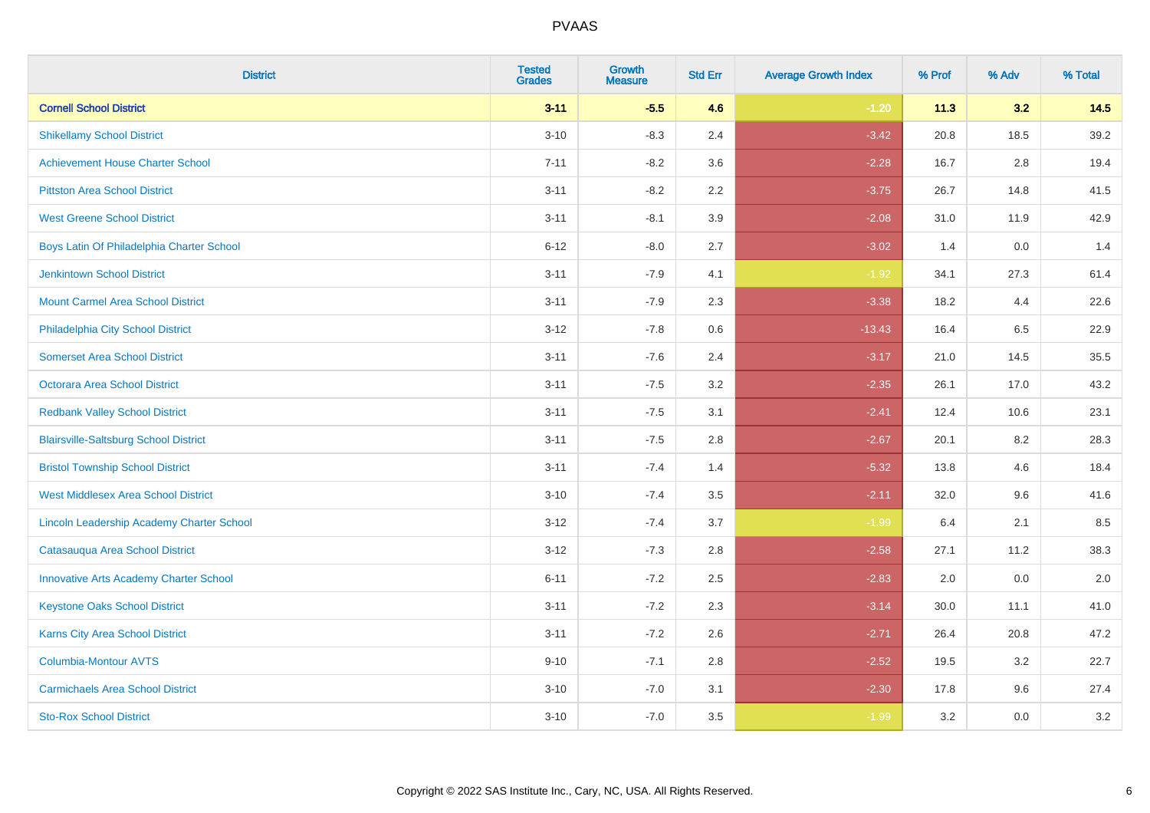| <b>District</b>                                  | <b>Tested</b><br><b>Grades</b> | <b>Growth</b><br><b>Measure</b> | <b>Std Err</b> | <b>Average Growth Index</b> | % Prof | % Adv   | % Total |
|--------------------------------------------------|--------------------------------|---------------------------------|----------------|-----------------------------|--------|---------|---------|
| <b>Cornell School District</b>                   | $3 - 11$                       | $-5.5$                          | 4.6            | $-1.20$                     | 11.3   | 3.2     | 14.5    |
| <b>Shikellamy School District</b>                | $3 - 10$                       | $-8.3$                          | 2.4            | $-3.42$                     | 20.8   | 18.5    | 39.2    |
| <b>Achievement House Charter School</b>          | $7 - 11$                       | $-8.2$                          | 3.6            | $-2.28$                     | 16.7   | 2.8     | 19.4    |
| <b>Pittston Area School District</b>             | $3 - 11$                       | $-8.2$                          | 2.2            | $-3.75$                     | 26.7   | 14.8    | 41.5    |
| <b>West Greene School District</b>               | $3 - 11$                       | $-8.1$                          | 3.9            | $-2.08$                     | 31.0   | 11.9    | 42.9    |
| Boys Latin Of Philadelphia Charter School        | $6 - 12$                       | $-8.0$                          | 2.7            | $-3.02$                     | 1.4    | 0.0     | 1.4     |
| <b>Jenkintown School District</b>                | $3 - 11$                       | $-7.9$                          | 4.1            | $-1.92$                     | 34.1   | 27.3    | 61.4    |
| <b>Mount Carmel Area School District</b>         | $3 - 11$                       | $-7.9$                          | 2.3            | $-3.38$                     | 18.2   | 4.4     | 22.6    |
| Philadelphia City School District                | $3 - 12$                       | $-7.8$                          | 0.6            | $-13.43$                    | 16.4   | 6.5     | 22.9    |
| <b>Somerset Area School District</b>             | $3 - 11$                       | $-7.6$                          | 2.4            | $-3.17$                     | 21.0   | 14.5    | 35.5    |
| Octorara Area School District                    | $3 - 11$                       | $-7.5$                          | 3.2            | $-2.35$                     | 26.1   | 17.0    | 43.2    |
| <b>Redbank Valley School District</b>            | $3 - 11$                       | $-7.5$                          | 3.1            | $-2.41$                     | 12.4   | 10.6    | 23.1    |
| <b>Blairsville-Saltsburg School District</b>     | $3 - 11$                       | $-7.5$                          | 2.8            | $-2.67$                     | 20.1   | $8.2\,$ | 28.3    |
| <b>Bristol Township School District</b>          | $3 - 11$                       | $-7.4$                          | 1.4            | $-5.32$                     | 13.8   | 4.6     | 18.4    |
| <b>West Middlesex Area School District</b>       | $3 - 10$                       | $-7.4$                          | 3.5            | $-2.11$                     | 32.0   | 9.6     | 41.6    |
| <b>Lincoln Leadership Academy Charter School</b> | $3 - 12$                       | $-7.4$                          | 3.7            | $-1.99$                     | 6.4    | 2.1     | 8.5     |
| Catasauqua Area School District                  | $3 - 12$                       | $-7.3$                          | 2.8            | $-2.58$                     | 27.1   | 11.2    | 38.3    |
| <b>Innovative Arts Academy Charter School</b>    | $6 - 11$                       | $-7.2$                          | 2.5            | $-2.83$                     | 2.0    | 0.0     | 2.0     |
| <b>Keystone Oaks School District</b>             | $3 - 11$                       | $-7.2$                          | 2.3            | $-3.14$                     | 30.0   | 11.1    | 41.0    |
| Karns City Area School District                  | $3 - 11$                       | $-7.2$                          | 2.6            | $-2.71$                     | 26.4   | 20.8    | 47.2    |
| Columbia-Montour AVTS                            | $9 - 10$                       | $-7.1$                          | 2.8            | $-2.52$                     | 19.5   | 3.2     | 22.7    |
| <b>Carmichaels Area School District</b>          | $3 - 10$                       | $-7.0$                          | 3.1            | $-2.30$                     | 17.8   | 9.6     | 27.4    |
| <b>Sto-Rox School District</b>                   | $3 - 10$                       | $-7.0$                          | 3.5            | $-1.99$                     | 3.2    | 0.0     | 3.2     |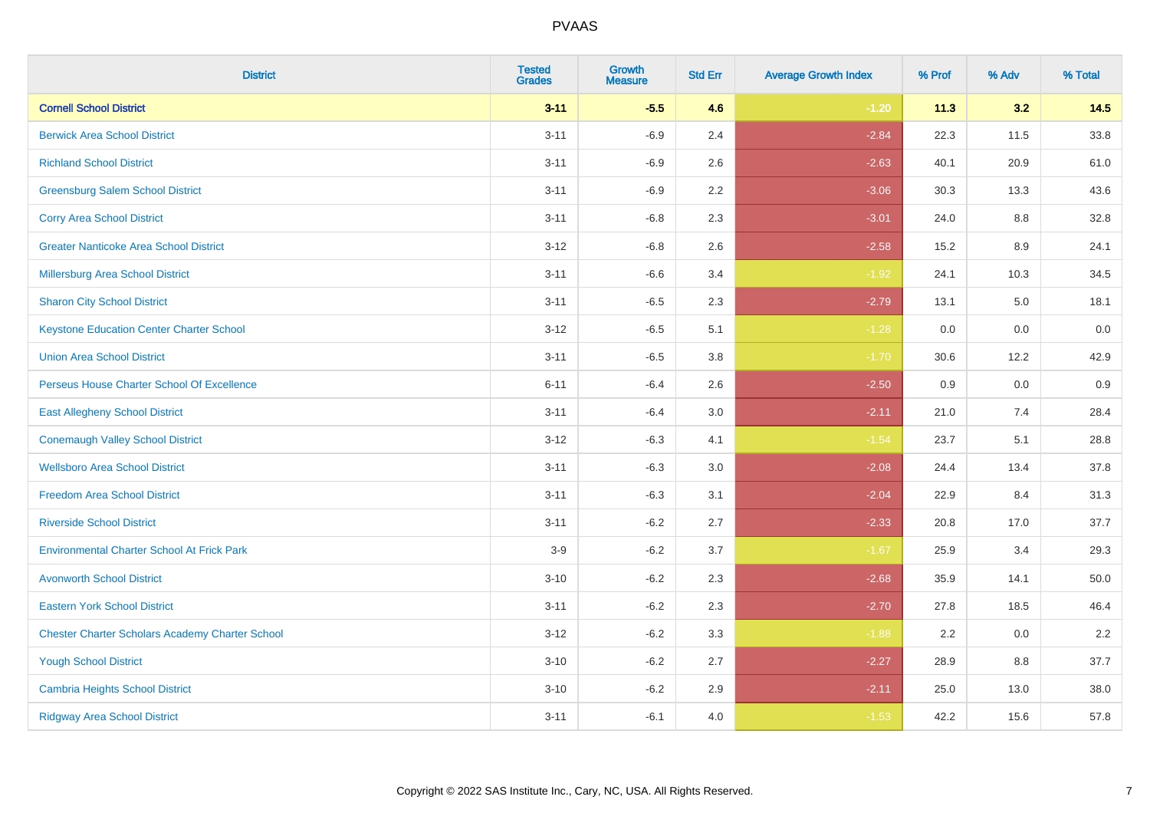| <b>District</b>                                        | <b>Tested</b><br><b>Grades</b> | <b>Growth</b><br><b>Measure</b> | <b>Std Err</b> | <b>Average Growth Index</b> | % Prof | % Adv | % Total |
|--------------------------------------------------------|--------------------------------|---------------------------------|----------------|-----------------------------|--------|-------|---------|
| <b>Cornell School District</b>                         | $3 - 11$                       | $-5.5$                          | 4.6            | $-1.20$                     | 11.3   | 3.2   | 14.5    |
| <b>Berwick Area School District</b>                    | $3 - 11$                       | $-6.9$                          | 2.4            | $-2.84$                     | 22.3   | 11.5  | 33.8    |
| <b>Richland School District</b>                        | $3 - 11$                       | $-6.9$                          | 2.6            | $-2.63$                     | 40.1   | 20.9  | 61.0    |
| <b>Greensburg Salem School District</b>                | $3 - 11$                       | $-6.9$                          | 2.2            | $-3.06$                     | 30.3   | 13.3  | 43.6    |
| <b>Corry Area School District</b>                      | $3 - 11$                       | $-6.8$                          | 2.3            | $-3.01$                     | 24.0   | 8.8   | 32.8    |
| <b>Greater Nanticoke Area School District</b>          | $3 - 12$                       | $-6.8$                          | 2.6            | $-2.58$                     | 15.2   | 8.9   | 24.1    |
| Millersburg Area School District                       | $3 - 11$                       | $-6.6$                          | 3.4            | $-1.92$                     | 24.1   | 10.3  | 34.5    |
| <b>Sharon City School District</b>                     | $3 - 11$                       | $-6.5$                          | 2.3            | $-2.79$                     | 13.1   | 5.0   | 18.1    |
| <b>Keystone Education Center Charter School</b>        | $3 - 12$                       | $-6.5$                          | 5.1            | $-1.28$                     | 0.0    | 0.0   | 0.0     |
| <b>Union Area School District</b>                      | $3 - 11$                       | $-6.5$                          | 3.8            | $-1.70$                     | 30.6   | 12.2  | 42.9    |
| Perseus House Charter School Of Excellence             | $6 - 11$                       | $-6.4$                          | 2.6            | $-2.50$                     | 0.9    | 0.0   | 0.9     |
| <b>East Allegheny School District</b>                  | $3 - 11$                       | $-6.4$                          | 3.0            | $-2.11$                     | 21.0   | 7.4   | 28.4    |
| <b>Conemaugh Valley School District</b>                | $3 - 12$                       | $-6.3$                          | 4.1            | $-1.54$                     | 23.7   | 5.1   | 28.8    |
| <b>Wellsboro Area School District</b>                  | $3 - 11$                       | $-6.3$                          | 3.0            | $-2.08$                     | 24.4   | 13.4  | 37.8    |
| <b>Freedom Area School District</b>                    | $3 - 11$                       | $-6.3$                          | 3.1            | $-2.04$                     | 22.9   | 8.4   | 31.3    |
| <b>Riverside School District</b>                       | $3 - 11$                       | $-6.2$                          | 2.7            | $-2.33$                     | 20.8   | 17.0  | 37.7    |
| <b>Environmental Charter School At Frick Park</b>      | $3-9$                          | $-6.2$                          | 3.7            | $-1.67$                     | 25.9   | 3.4   | 29.3    |
| <b>Avonworth School District</b>                       | $3 - 10$                       | $-6.2$                          | 2.3            | $-2.68$                     | 35.9   | 14.1  | 50.0    |
| <b>Eastern York School District</b>                    | $3 - 11$                       | $-6.2$                          | 2.3            | $-2.70$                     | 27.8   | 18.5  | 46.4    |
| <b>Chester Charter Scholars Academy Charter School</b> | $3 - 12$                       | $-6.2$                          | 3.3            | $-1.88$                     | 2.2    | 0.0   | 2.2     |
| <b>Yough School District</b>                           | $3 - 10$                       | $-6.2$                          | 2.7            | $-2.27$                     | 28.9   | 8.8   | 37.7    |
| <b>Cambria Heights School District</b>                 | $3 - 10$                       | $-6.2$                          | 2.9            | $-2.11$                     | 25.0   | 13.0  | 38.0    |
| <b>Ridgway Area School District</b>                    | $3 - 11$                       | $-6.1$                          | 4.0            | $-1.53$                     | 42.2   | 15.6  | 57.8    |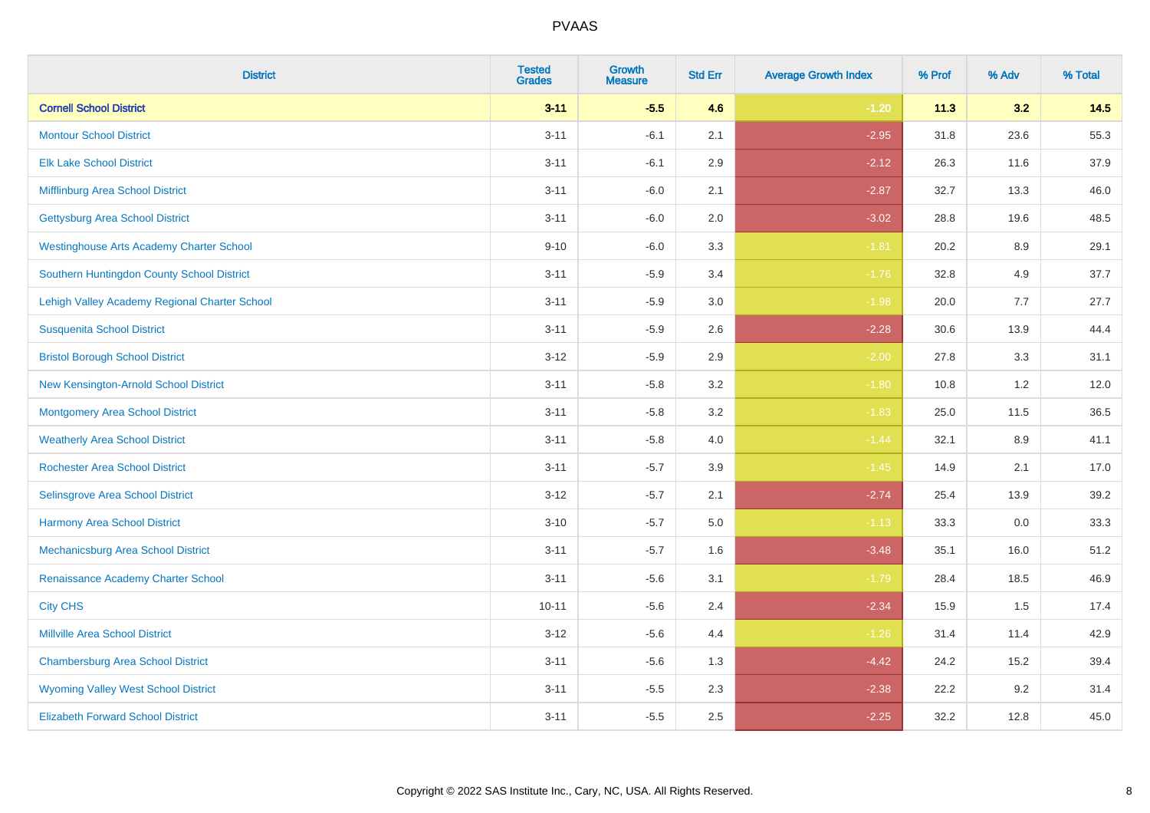| <b>District</b>                                 | <b>Tested</b><br><b>Grades</b> | <b>Growth</b><br><b>Measure</b> | <b>Std Err</b> | <b>Average Growth Index</b> | % Prof | % Adv | % Total |
|-------------------------------------------------|--------------------------------|---------------------------------|----------------|-----------------------------|--------|-------|---------|
| <b>Cornell School District</b>                  | $3 - 11$                       | $-5.5$                          | 4.6            | $-1.20$                     | 11.3   | 3.2   | 14.5    |
| <b>Montour School District</b>                  | $3 - 11$                       | $-6.1$                          | 2.1            | $-2.95$                     | 31.8   | 23.6  | 55.3    |
| <b>Elk Lake School District</b>                 | $3 - 11$                       | $-6.1$                          | 2.9            | $-2.12$                     | 26.3   | 11.6  | 37.9    |
| Mifflinburg Area School District                | $3 - 11$                       | $-6.0$                          | 2.1            | $-2.87$                     | 32.7   | 13.3  | 46.0    |
| <b>Gettysburg Area School District</b>          | $3 - 11$                       | $-6.0$                          | 2.0            | $-3.02$                     | 28.8   | 19.6  | 48.5    |
| <b>Westinghouse Arts Academy Charter School</b> | $9 - 10$                       | $-6.0$                          | 3.3            | $-1.81$                     | 20.2   | 8.9   | 29.1    |
| Southern Huntingdon County School District      | $3 - 11$                       | $-5.9$                          | 3.4            | $-1.76$                     | 32.8   | 4.9   | 37.7    |
| Lehigh Valley Academy Regional Charter School   | $3 - 11$                       | $-5.9$                          | 3.0            | $-1.98$                     | 20.0   | 7.7   | 27.7    |
| <b>Susquenita School District</b>               | $3 - 11$                       | $-5.9$                          | 2.6            | $-2.28$                     | 30.6   | 13.9  | 44.4    |
| <b>Bristol Borough School District</b>          | $3 - 12$                       | $-5.9$                          | $2.9\,$        | $-2.00$                     | 27.8   | 3.3   | 31.1    |
| New Kensington-Arnold School District           | $3 - 11$                       | $-5.8$                          | 3.2            | $-1.80$                     | 10.8   | 1.2   | 12.0    |
| Montgomery Area School District                 | $3 - 11$                       | $-5.8$                          | 3.2            | $-1.83$                     | 25.0   | 11.5  | 36.5    |
| <b>Weatherly Area School District</b>           | $3 - 11$                       | $-5.8$                          | 4.0            | $-1.44$                     | 32.1   | 8.9   | 41.1    |
| <b>Rochester Area School District</b>           | $3 - 11$                       | $-5.7$                          | 3.9            | $-1.45$                     | 14.9   | 2.1   | 17.0    |
| Selinsgrove Area School District                | $3 - 12$                       | $-5.7$                          | 2.1            | $-2.74$                     | 25.4   | 13.9  | 39.2    |
| <b>Harmony Area School District</b>             | $3 - 10$                       | $-5.7$                          | 5.0            | $-1.13$                     | 33.3   | 0.0   | 33.3    |
| Mechanicsburg Area School District              | $3 - 11$                       | $-5.7$                          | 1.6            | $-3.48$                     | 35.1   | 16.0  | 51.2    |
| Renaissance Academy Charter School              | $3 - 11$                       | $-5.6$                          | 3.1            | $-1.79$                     | 28.4   | 18.5  | 46.9    |
| <b>City CHS</b>                                 | $10 - 11$                      | $-5.6$                          | 2.4            | $-2.34$                     | 15.9   | 1.5   | 17.4    |
| <b>Millville Area School District</b>           | $3 - 12$                       | $-5.6$                          | 4.4            | $-1.26$                     | 31.4   | 11.4  | 42.9    |
| <b>Chambersburg Area School District</b>        | $3 - 11$                       | $-5.6$                          | 1.3            | $-4.42$                     | 24.2   | 15.2  | 39.4    |
| <b>Wyoming Valley West School District</b>      | $3 - 11$                       | $-5.5$                          | 2.3            | $-2.38$                     | 22.2   | 9.2   | 31.4    |
| <b>Elizabeth Forward School District</b>        | $3 - 11$                       | $-5.5$                          | 2.5            | $-2.25$                     | 32.2   | 12.8  | 45.0    |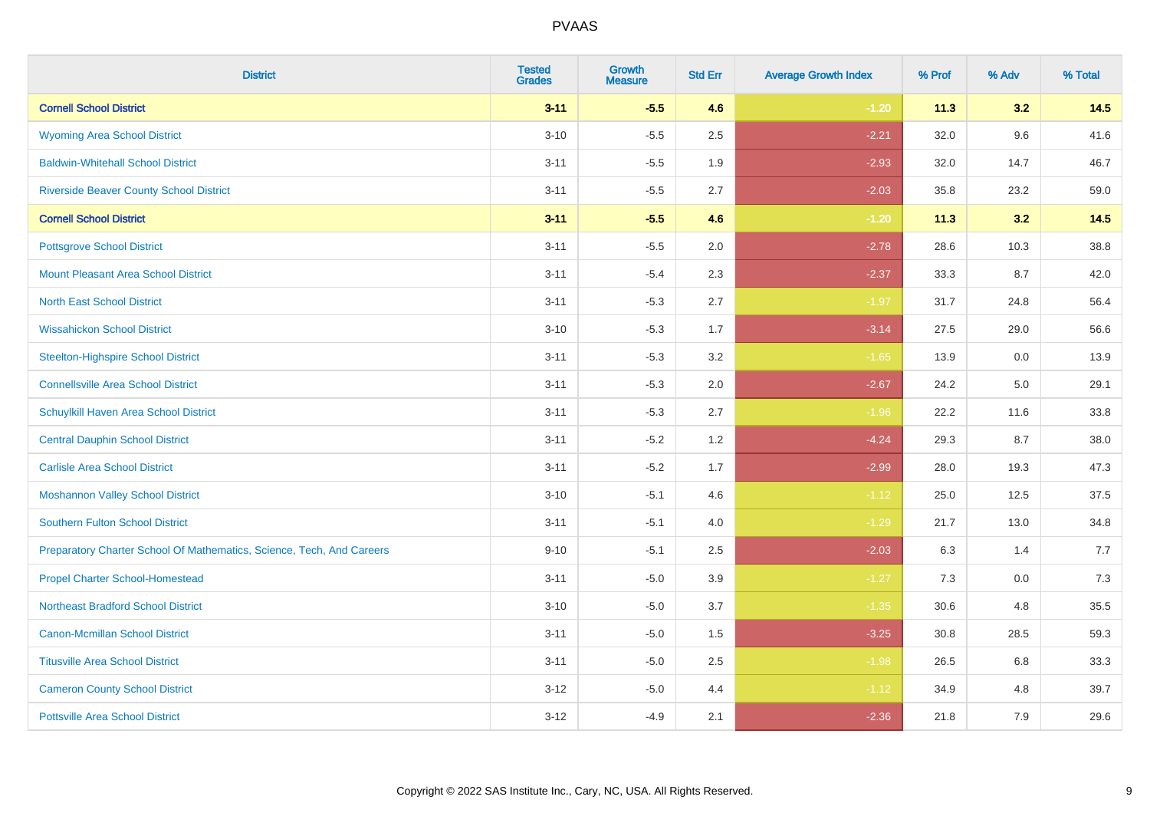| <b>District</b>                                                       | <b>Tested</b><br><b>Grades</b> | <b>Growth</b><br><b>Measure</b> | <b>Std Err</b> | <b>Average Growth Index</b> | % Prof | % Adv | % Total |
|-----------------------------------------------------------------------|--------------------------------|---------------------------------|----------------|-----------------------------|--------|-------|---------|
| <b>Cornell School District</b>                                        | $3 - 11$                       | $-5.5$                          | 4.6            | $-1.20$                     | 11.3   | 3.2   | 14.5    |
| <b>Wyoming Area School District</b>                                   | $3 - 10$                       | $-5.5$                          | 2.5            | $-2.21$                     | 32.0   | 9.6   | 41.6    |
| <b>Baldwin-Whitehall School District</b>                              | $3 - 11$                       | $-5.5$                          | 1.9            | $-2.93$                     | 32.0   | 14.7  | 46.7    |
| <b>Riverside Beaver County School District</b>                        | $3 - 11$                       | $-5.5$                          | 2.7            | $-2.03$                     | 35.8   | 23.2  | 59.0    |
| <b>Cornell School District</b>                                        | $3 - 11$                       | $-5.5$                          | 4.6            | $-1.20$                     | 11.3   | 3.2   | 14.5    |
| <b>Pottsgrove School District</b>                                     | $3 - 11$                       | $-5.5$                          | 2.0            | $-2.78$                     | 28.6   | 10.3  | 38.8    |
| <b>Mount Pleasant Area School District</b>                            | $3 - 11$                       | $-5.4$                          | 2.3            | $-2.37$                     | 33.3   | 8.7   | 42.0    |
| <b>North East School District</b>                                     | $3 - 11$                       | $-5.3$                          | 2.7            | $-1.97$                     | 31.7   | 24.8  | 56.4    |
| <b>Wissahickon School District</b>                                    | $3 - 10$                       | $-5.3$                          | 1.7            | $-3.14$                     | 27.5   | 29.0  | 56.6    |
| <b>Steelton-Highspire School District</b>                             | $3 - 11$                       | $-5.3$                          | 3.2            | $-1.65$                     | 13.9   | 0.0   | 13.9    |
| <b>Connellsville Area School District</b>                             | $3 - 11$                       | $-5.3$                          | 2.0            | $-2.67$                     | 24.2   | 5.0   | 29.1    |
| Schuylkill Haven Area School District                                 | $3 - 11$                       | $-5.3$                          | 2.7            | $-1.96$                     | 22.2   | 11.6  | 33.8    |
| <b>Central Dauphin School District</b>                                | $3 - 11$                       | $-5.2$                          | 1.2            | $-4.24$                     | 29.3   | 8.7   | 38.0    |
| <b>Carlisle Area School District</b>                                  | $3 - 11$                       | $-5.2$                          | 1.7            | $-2.99$                     | 28.0   | 19.3  | 47.3    |
| <b>Moshannon Valley School District</b>                               | $3 - 10$                       | $-5.1$                          | 4.6            | $-1.12$                     | 25.0   | 12.5  | 37.5    |
| <b>Southern Fulton School District</b>                                | $3 - 11$                       | $-5.1$                          | 4.0            | $-1.29$                     | 21.7   | 13.0  | 34.8    |
| Preparatory Charter School Of Mathematics, Science, Tech, And Careers | $9 - 10$                       | $-5.1$                          | 2.5            | $-2.03$                     | 6.3    | 1.4   | 7.7     |
| <b>Propel Charter School-Homestead</b>                                | $3 - 11$                       | $-5.0$                          | 3.9            | $-1.27$                     | 7.3    | 0.0   | $7.3$   |
| <b>Northeast Bradford School District</b>                             | $3 - 10$                       | $-5.0$                          | 3.7            | $-1.35$                     | 30.6   | 4.8   | 35.5    |
| <b>Canon-Mcmillan School District</b>                                 | $3 - 11$                       | $-5.0$                          | 1.5            | $-3.25$                     | 30.8   | 28.5  | 59.3    |
| <b>Titusville Area School District</b>                                | $3 - 11$                       | $-5.0$                          | 2.5            | $-1.98$                     | 26.5   | 6.8   | 33.3    |
| <b>Cameron County School District</b>                                 | $3 - 12$                       | $-5.0$                          | 4.4            | $-1.12$                     | 34.9   | 4.8   | 39.7    |
| <b>Pottsville Area School District</b>                                | $3 - 12$                       | $-4.9$                          | 2.1            | $-2.36$                     | 21.8   | 7.9   | 29.6    |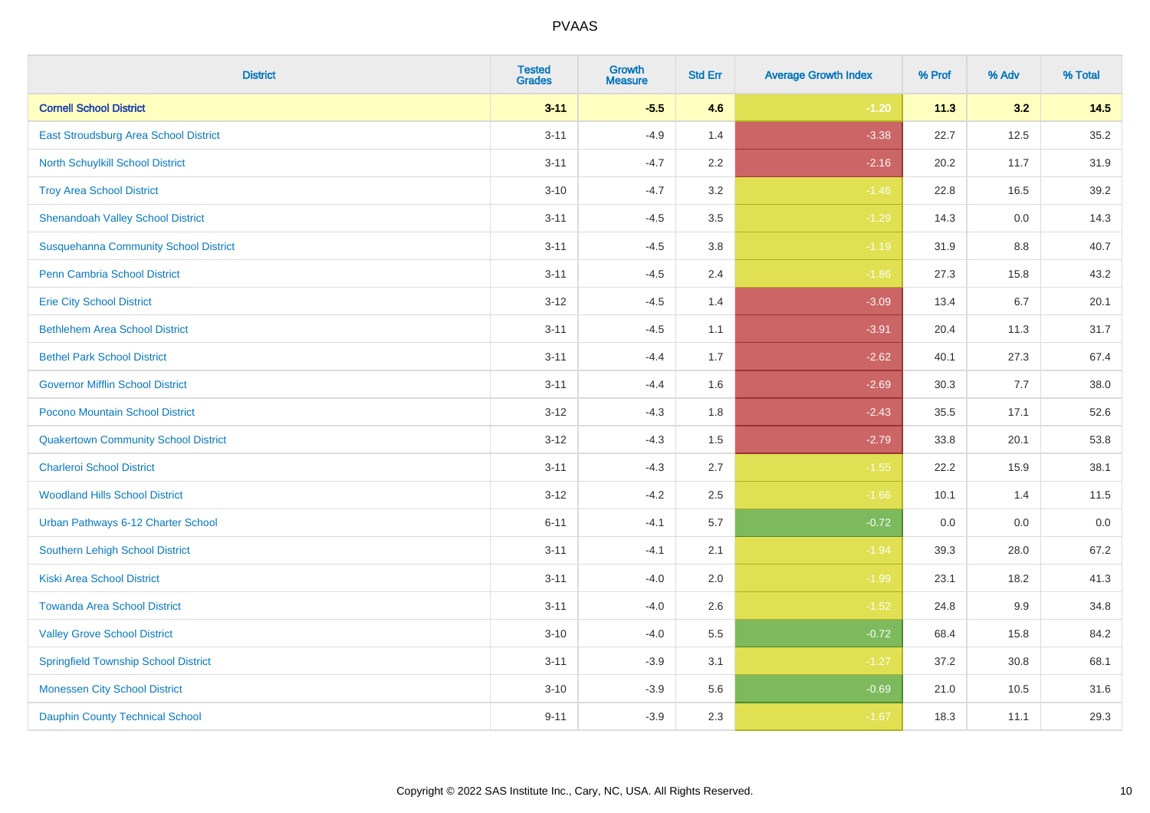| <b>District</b>                              | <b>Tested</b><br><b>Grades</b> | <b>Growth</b><br><b>Measure</b> | <b>Std Err</b> | <b>Average Growth Index</b> | % Prof | % Adv   | % Total |
|----------------------------------------------|--------------------------------|---------------------------------|----------------|-----------------------------|--------|---------|---------|
| <b>Cornell School District</b>               | $3 - 11$                       | $-5.5$                          | 4.6            | $-1.20$                     | 11.3   | 3.2     | 14.5    |
| <b>East Stroudsburg Area School District</b> | $3 - 11$                       | $-4.9$                          | 1.4            | $-3.38$                     | 22.7   | 12.5    | 35.2    |
| <b>North Schuylkill School District</b>      | $3 - 11$                       | $-4.7$                          | 2.2            | $-2.16$                     | 20.2   | 11.7    | 31.9    |
| <b>Troy Area School District</b>             | $3 - 10$                       | $-4.7$                          | 3.2            | $-1.46$                     | 22.8   | 16.5    | 39.2    |
| <b>Shenandoah Valley School District</b>     | $3 - 11$                       | $-4.5$                          | 3.5            | $-1.29$                     | 14.3   | 0.0     | 14.3    |
| <b>Susquehanna Community School District</b> | $3 - 11$                       | $-4.5$                          | 3.8            | $-1.19$                     | 31.9   | 8.8     | 40.7    |
| <b>Penn Cambria School District</b>          | $3 - 11$                       | $-4.5$                          | 2.4            | $-1.86$                     | 27.3   | 15.8    | 43.2    |
| <b>Erie City School District</b>             | $3 - 12$                       | $-4.5$                          | 1.4            | $-3.09$                     | 13.4   | 6.7     | 20.1    |
| <b>Bethlehem Area School District</b>        | $3 - 11$                       | $-4.5$                          | 1.1            | $-3.91$                     | 20.4   | 11.3    | 31.7    |
| <b>Bethel Park School District</b>           | $3 - 11$                       | $-4.4$                          | 1.7            | $-2.62$                     | 40.1   | 27.3    | 67.4    |
| <b>Governor Mifflin School District</b>      | $3 - 11$                       | $-4.4$                          | 1.6            | $-2.69$                     | 30.3   | 7.7     | 38.0    |
| Pocono Mountain School District              | $3 - 12$                       | $-4.3$                          | 1.8            | $-2.43$                     | 35.5   | 17.1    | 52.6    |
| <b>Quakertown Community School District</b>  | $3 - 12$                       | $-4.3$                          | $1.5\,$        | $-2.79$                     | 33.8   | 20.1    | 53.8    |
| <b>Charleroi School District</b>             | $3 - 11$                       | $-4.3$                          | 2.7            | $-1.55$                     | 22.2   | 15.9    | 38.1    |
| <b>Woodland Hills School District</b>        | $3 - 12$                       | $-4.2$                          | 2.5            | $-1.66$                     | 10.1   | 1.4     | 11.5    |
| Urban Pathways 6-12 Charter School           | $6 - 11$                       | $-4.1$                          | 5.7            | $-0.72$                     | 0.0    | $0.0\,$ | $0.0\,$ |
| <b>Southern Lehigh School District</b>       | $3 - 11$                       | $-4.1$                          | 2.1            | $-1.94$                     | 39.3   | 28.0    | 67.2    |
| <b>Kiski Area School District</b>            | $3 - 11$                       | $-4.0$                          | 2.0            | $-1.99$                     | 23.1   | 18.2    | 41.3    |
| <b>Towanda Area School District</b>          | $3 - 11$                       | $-4.0$                          | 2.6            | $-1.52$                     | 24.8   | 9.9     | 34.8    |
| <b>Valley Grove School District</b>          | $3 - 10$                       | $-4.0$                          | 5.5            | $-0.72$                     | 68.4   | 15.8    | 84.2    |
| <b>Springfield Township School District</b>  | $3 - 11$                       | $-3.9$                          | 3.1            | $-1.27$                     | 37.2   | 30.8    | 68.1    |
| <b>Monessen City School District</b>         | $3 - 10$                       | $-3.9$                          | 5.6            | $-0.69$                     | 21.0   | 10.5    | 31.6    |
| <b>Dauphin County Technical School</b>       | $9 - 11$                       | $-3.9$                          | 2.3            | $-1.67$                     | 18.3   | 11.1    | 29.3    |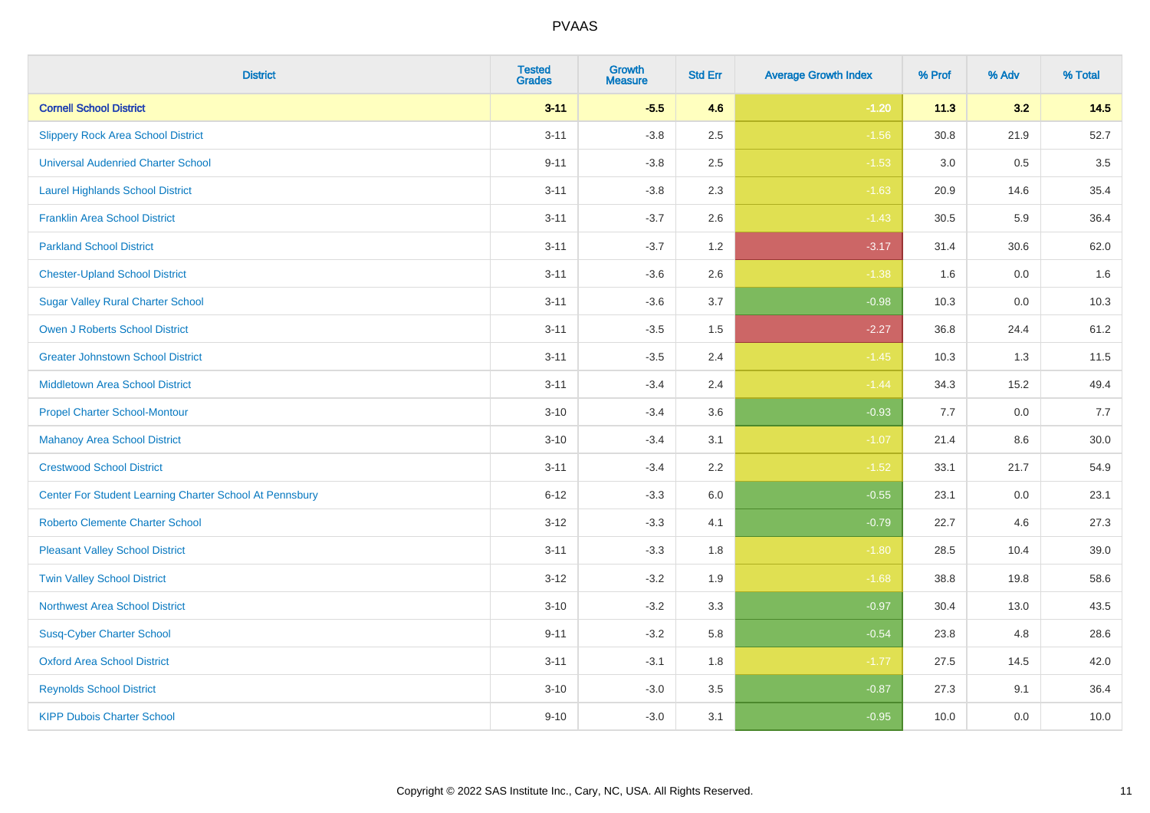| <b>District</b>                                         | <b>Tested</b><br><b>Grades</b> | <b>Growth</b><br><b>Measure</b> | <b>Std Err</b> | <b>Average Growth Index</b> | % Prof | % Adv   | % Total |
|---------------------------------------------------------|--------------------------------|---------------------------------|----------------|-----------------------------|--------|---------|---------|
| <b>Cornell School District</b>                          | $3 - 11$                       | $-5.5$                          | 4.6            | $-1.20$                     | 11.3   | 3.2     | 14.5    |
| <b>Slippery Rock Area School District</b>               | $3 - 11$                       | $-3.8$                          | 2.5            | $-1.56$                     | 30.8   | 21.9    | 52.7    |
| <b>Universal Audenried Charter School</b>               | $9 - 11$                       | $-3.8$                          | 2.5            | $-1.53$                     | 3.0    | 0.5     | 3.5     |
| <b>Laurel Highlands School District</b>                 | $3 - 11$                       | $-3.8$                          | 2.3            | $-1.63$                     | 20.9   | 14.6    | 35.4    |
| <b>Franklin Area School District</b>                    | $3 - 11$                       | $-3.7$                          | 2.6            | $-1.43$                     | 30.5   | 5.9     | 36.4    |
| <b>Parkland School District</b>                         | $3 - 11$                       | $-3.7$                          | 1.2            | $-3.17$                     | 31.4   | 30.6    | 62.0    |
| <b>Chester-Upland School District</b>                   | $3 - 11$                       | $-3.6$                          | 2.6            | $-1.38$                     | 1.6    | $0.0\,$ | 1.6     |
| <b>Sugar Valley Rural Charter School</b>                | $3 - 11$                       | $-3.6$                          | 3.7            | $-0.98$                     | 10.3   | 0.0     | 10.3    |
| <b>Owen J Roberts School District</b>                   | $3 - 11$                       | $-3.5$                          | 1.5            | $-2.27$                     | 36.8   | 24.4    | 61.2    |
| <b>Greater Johnstown School District</b>                | $3 - 11$                       | $-3.5$                          | 2.4            | $-1.45$                     | 10.3   | 1.3     | 11.5    |
| <b>Middletown Area School District</b>                  | $3 - 11$                       | $-3.4$                          | 2.4            | $-1.44$                     | 34.3   | 15.2    | 49.4    |
| <b>Propel Charter School-Montour</b>                    | $3 - 10$                       | $-3.4$                          | 3.6            | $-0.93$                     | 7.7    | 0.0     | 7.7     |
| <b>Mahanoy Area School District</b>                     | $3 - 10$                       | $-3.4$                          | 3.1            | $-1.07$                     | 21.4   | 8.6     | 30.0    |
| <b>Crestwood School District</b>                        | $3 - 11$                       | $-3.4$                          | 2.2            | $-1.52$                     | 33.1   | 21.7    | 54.9    |
| Center For Student Learning Charter School At Pennsbury | $6 - 12$                       | $-3.3$                          | 6.0            | $-0.55$                     | 23.1   | 0.0     | 23.1    |
| <b>Roberto Clemente Charter School</b>                  | $3 - 12$                       | $-3.3$                          | 4.1            | $-0.79$                     | 22.7   | 4.6     | 27.3    |
| <b>Pleasant Valley School District</b>                  | $3 - 11$                       | $-3.3$                          | 1.8            | $-1.80$                     | 28.5   | 10.4    | 39.0    |
| <b>Twin Valley School District</b>                      | $3 - 12$                       | $-3.2$                          | 1.9            | $-1.68$                     | 38.8   | 19.8    | 58.6    |
| <b>Northwest Area School District</b>                   | $3 - 10$                       | $-3.2$                          | 3.3            | $-0.97$                     | 30.4   | 13.0    | 43.5    |
| <b>Susq-Cyber Charter School</b>                        | $9 - 11$                       | $-3.2$                          | 5.8            | $-0.54$                     | 23.8   | 4.8     | 28.6    |
| <b>Oxford Area School District</b>                      | $3 - 11$                       | $-3.1$                          | 1.8            | $-1.77$                     | 27.5   | 14.5    | 42.0    |
| <b>Reynolds School District</b>                         | $3 - 10$                       | $-3.0$                          | 3.5            | $-0.87$                     | 27.3   | 9.1     | 36.4    |
| <b>KIPP Dubois Charter School</b>                       | $9 - 10$                       | $-3.0$                          | 3.1            | $-0.95$                     | 10.0   | 0.0     | 10.0    |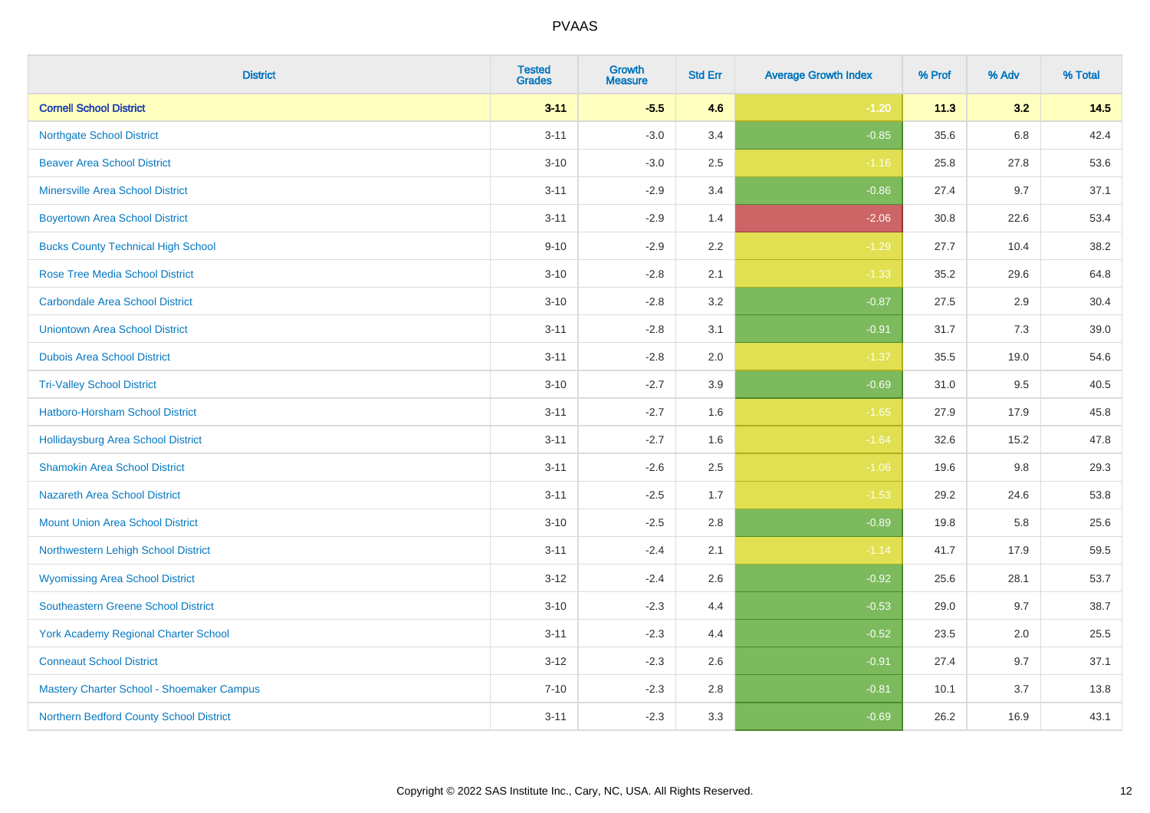| <b>District</b>                             | <b>Tested</b><br><b>Grades</b> | <b>Growth</b><br><b>Measure</b> | <b>Std Err</b> | <b>Average Growth Index</b> | % Prof | % Adv   | % Total |
|---------------------------------------------|--------------------------------|---------------------------------|----------------|-----------------------------|--------|---------|---------|
| <b>Cornell School District</b>              | $3 - 11$                       | $-5.5$                          | 4.6            | $-1.20$                     | 11.3   | 3.2     | 14.5    |
| <b>Northgate School District</b>            | $3 - 11$                       | $-3.0$                          | 3.4            | $-0.85$                     | 35.6   | $6.8\,$ | 42.4    |
| <b>Beaver Area School District</b>          | $3 - 10$                       | $-3.0$                          | 2.5            | $-1.16$                     | 25.8   | 27.8    | 53.6    |
| <b>Minersville Area School District</b>     | $3 - 11$                       | $-2.9$                          | 3.4            | $-0.86$                     | 27.4   | 9.7     | 37.1    |
| <b>Boyertown Area School District</b>       | $3 - 11$                       | $-2.9$                          | 1.4            | $-2.06$                     | 30.8   | 22.6    | 53.4    |
| <b>Bucks County Technical High School</b>   | $9 - 10$                       | $-2.9$                          | 2.2            | $-1.29$                     | 27.7   | 10.4    | 38.2    |
| <b>Rose Tree Media School District</b>      | $3 - 10$                       | $-2.8$                          | 2.1            | $-1.33$                     | 35.2   | 29.6    | 64.8    |
| <b>Carbondale Area School District</b>      | $3 - 10$                       | $-2.8$                          | 3.2            | $-0.87$                     | 27.5   | 2.9     | 30.4    |
| <b>Uniontown Area School District</b>       | $3 - 11$                       | $-2.8$                          | 3.1            | $-0.91$                     | 31.7   | 7.3     | 39.0    |
| <b>Dubois Area School District</b>          | $3 - 11$                       | $-2.8$                          | 2.0            | $-1.37$                     | 35.5   | 19.0    | 54.6    |
| <b>Tri-Valley School District</b>           | $3 - 10$                       | $-2.7$                          | 3.9            | $-0.69$                     | 31.0   | 9.5     | 40.5    |
| Hatboro-Horsham School District             | $3 - 11$                       | $-2.7$                          | 1.6            | $-1.65$                     | 27.9   | 17.9    | 45.8    |
| Hollidaysburg Area School District          | $3 - 11$                       | $-2.7$                          | 1.6            | $-1.64$                     | 32.6   | 15.2    | 47.8    |
| <b>Shamokin Area School District</b>        | $3 - 11$                       | $-2.6$                          | 2.5            | $-1.06$                     | 19.6   | 9.8     | 29.3    |
| <b>Nazareth Area School District</b>        | $3 - 11$                       | $-2.5$                          | 1.7            | $-1.53$                     | 29.2   | 24.6    | 53.8    |
| <b>Mount Union Area School District</b>     | $3 - 10$                       | $-2.5$                          | 2.8            | $-0.89$                     | 19.8   | 5.8     | 25.6    |
| Northwestern Lehigh School District         | $3 - 11$                       | $-2.4$                          | 2.1            | $-1.14$                     | 41.7   | 17.9    | 59.5    |
| <b>Wyomissing Area School District</b>      | $3-12$                         | $-2.4$                          | 2.6            | $-0.92$                     | 25.6   | 28.1    | 53.7    |
| <b>Southeastern Greene School District</b>  | $3 - 10$                       | $-2.3$                          | 4.4            | $-0.53$                     | 29.0   | 9.7     | 38.7    |
| <b>York Academy Regional Charter School</b> | $3 - 11$                       | $-2.3$                          | 4.4            | $-0.52$                     | 23.5   | 2.0     | 25.5    |
| <b>Conneaut School District</b>             | $3 - 12$                       | $-2.3$                          | 2.6            | $-0.91$                     | 27.4   | 9.7     | 37.1    |
| Mastery Charter School - Shoemaker Campus   | $7 - 10$                       | $-2.3$                          | 2.8            | $-0.81$                     | 10.1   | 3.7     | 13.8    |
| Northern Bedford County School District     | $3 - 11$                       | $-2.3$                          | 3.3            | $-0.69$                     | 26.2   | 16.9    | 43.1    |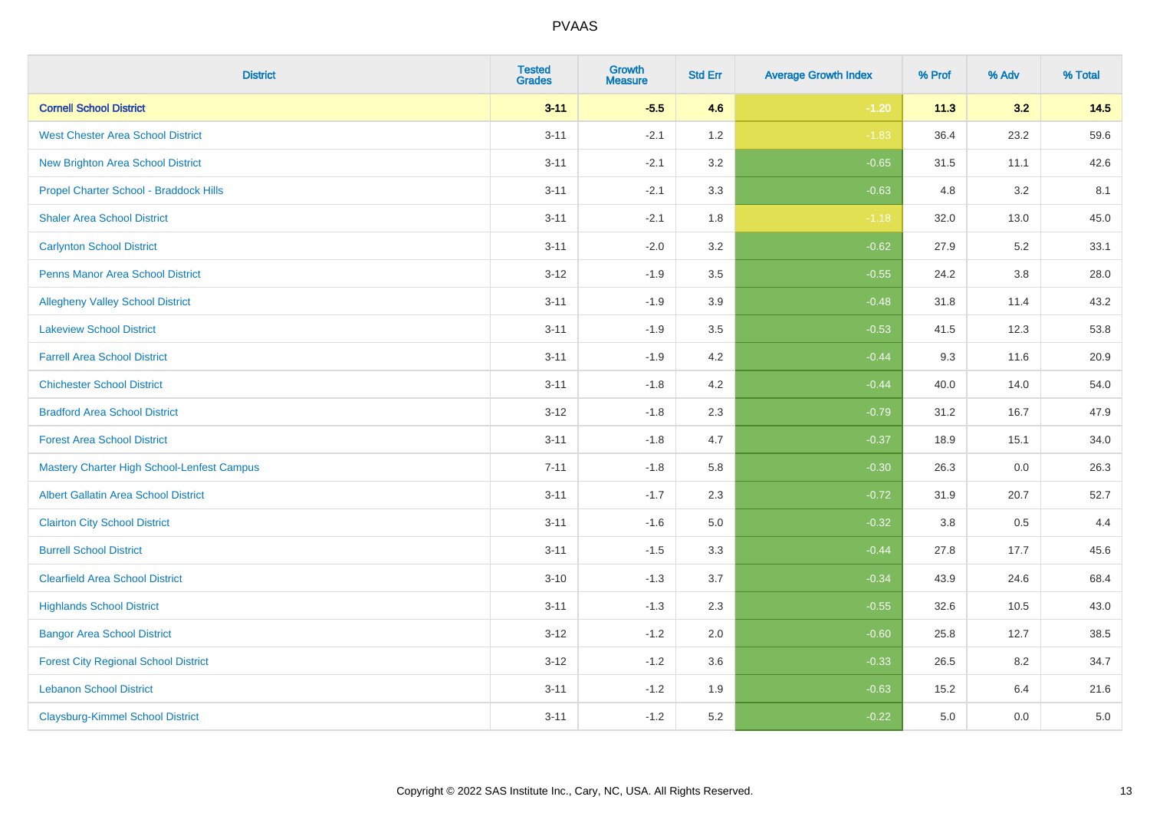| <b>District</b>                                   | <b>Tested</b><br><b>Grades</b> | <b>Growth</b><br><b>Measure</b> | <b>Std Err</b> | <b>Average Growth Index</b> | % Prof | % Adv   | % Total |
|---------------------------------------------------|--------------------------------|---------------------------------|----------------|-----------------------------|--------|---------|---------|
| <b>Cornell School District</b>                    | $3 - 11$                       | $-5.5$                          | 4.6            | $-1.20$                     | 11.3   | 3.2     | 14.5    |
| <b>West Chester Area School District</b>          | $3 - 11$                       | $-2.1$                          | 1.2            | $-1.83$                     | 36.4   | 23.2    | 59.6    |
| <b>New Brighton Area School District</b>          | $3 - 11$                       | $-2.1$                          | 3.2            | $-0.65$                     | 31.5   | 11.1    | 42.6    |
| Propel Charter School - Braddock Hills            | $3 - 11$                       | $-2.1$                          | 3.3            | $-0.63$                     | 4.8    | $3.2\,$ | 8.1     |
| <b>Shaler Area School District</b>                | $3 - 11$                       | $-2.1$                          | 1.8            | $-1.18$                     | 32.0   | 13.0    | 45.0    |
| <b>Carlynton School District</b>                  | $3 - 11$                       | $-2.0$                          | 3.2            | $-0.62$                     | 27.9   | 5.2     | 33.1    |
| Penns Manor Area School District                  | $3 - 12$                       | $-1.9$                          | 3.5            | $-0.55$                     | 24.2   | $3.8\,$ | 28.0    |
| <b>Allegheny Valley School District</b>           | $3 - 11$                       | $-1.9$                          | 3.9            | $-0.48$                     | 31.8   | 11.4    | 43.2    |
| <b>Lakeview School District</b>                   | $3 - 11$                       | $-1.9$                          | 3.5            | $-0.53$                     | 41.5   | 12.3    | 53.8    |
| <b>Farrell Area School District</b>               | $3 - 11$                       | $-1.9$                          | 4.2            | $-0.44$                     | 9.3    | 11.6    | 20.9    |
| <b>Chichester School District</b>                 | $3 - 11$                       | $-1.8$                          | 4.2            | $-0.44$                     | 40.0   | 14.0    | 54.0    |
| <b>Bradford Area School District</b>              | $3 - 12$                       | $-1.8$                          | 2.3            | $-0.79$                     | 31.2   | 16.7    | 47.9    |
| <b>Forest Area School District</b>                | $3 - 11$                       | $-1.8$                          | 4.7            | $-0.37$                     | 18.9   | 15.1    | 34.0    |
| <b>Mastery Charter High School-Lenfest Campus</b> | $7 - 11$                       | $-1.8$                          | 5.8            | $-0.30$                     | 26.3   | 0.0     | 26.3    |
| <b>Albert Gallatin Area School District</b>       | $3 - 11$                       | $-1.7$                          | 2.3            | $-0.72$                     | 31.9   | 20.7    | 52.7    |
| <b>Clairton City School District</b>              | $3 - 11$                       | $-1.6$                          | 5.0            | $-0.32$                     | 3.8    | 0.5     | 4.4     |
| <b>Burrell School District</b>                    | $3 - 11$                       | $-1.5$                          | 3.3            | $-0.44$                     | 27.8   | 17.7    | 45.6    |
| <b>Clearfield Area School District</b>            | $3 - 10$                       | $-1.3$                          | 3.7            | $-0.34$                     | 43.9   | 24.6    | 68.4    |
| <b>Highlands School District</b>                  | $3 - 11$                       | $-1.3$                          | 2.3            | $-0.55$                     | 32.6   | 10.5    | 43.0    |
| <b>Bangor Area School District</b>                | $3 - 12$                       | $-1.2$                          | 2.0            | $-0.60$                     | 25.8   | 12.7    | 38.5    |
| <b>Forest City Regional School District</b>       | $3 - 12$                       | $-1.2$                          | 3.6            | $-0.33$                     | 26.5   | 8.2     | 34.7    |
| <b>Lebanon School District</b>                    | $3 - 11$                       | $-1.2$                          | 1.9            | $-0.63$                     | 15.2   | 6.4     | 21.6    |
| <b>Claysburg-Kimmel School District</b>           | $3 - 11$                       | $-1.2$                          | 5.2            | $-0.22$                     | 5.0    | 0.0     | $5.0\,$ |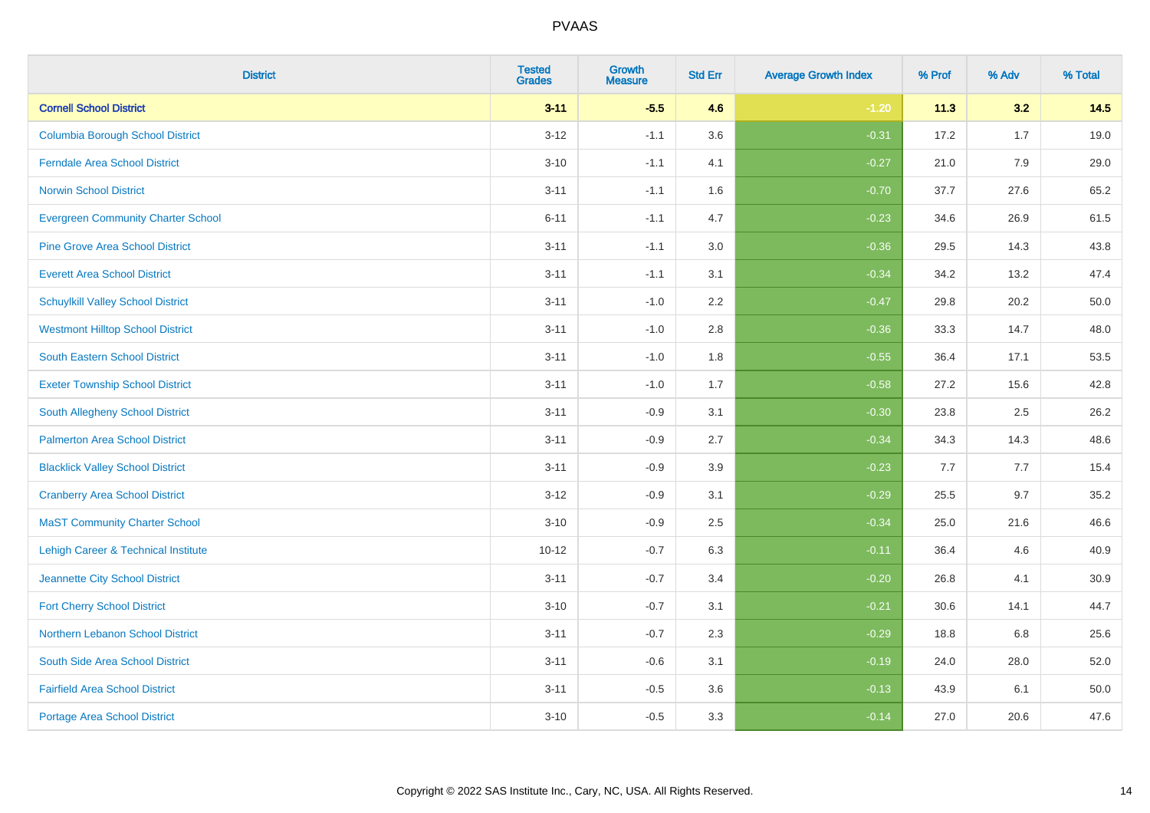| <b>District</b>                           | <b>Tested</b><br><b>Grades</b> | <b>Growth</b><br><b>Measure</b> | <b>Std Err</b> | <b>Average Growth Index</b> | % Prof | % Adv | % Total |
|-------------------------------------------|--------------------------------|---------------------------------|----------------|-----------------------------|--------|-------|---------|
| <b>Cornell School District</b>            | $3 - 11$                       | $-5.5$                          | 4.6            | $-1.20$                     | 11.3   | 3.2   | 14.5    |
| <b>Columbia Borough School District</b>   | $3 - 12$                       | $-1.1$                          | 3.6            | $-0.31$                     | 17.2   | 1.7   | 19.0    |
| <b>Ferndale Area School District</b>      | $3 - 10$                       | $-1.1$                          | 4.1            | $-0.27$                     | 21.0   | 7.9   | 29.0    |
| <b>Norwin School District</b>             | $3 - 11$                       | $-1.1$                          | 1.6            | $-0.70$                     | 37.7   | 27.6  | 65.2    |
| <b>Evergreen Community Charter School</b> | $6 - 11$                       | $-1.1$                          | 4.7            | $-0.23$                     | 34.6   | 26.9  | 61.5    |
| <b>Pine Grove Area School District</b>    | $3 - 11$                       | $-1.1$                          | 3.0            | $-0.36$                     | 29.5   | 14.3  | 43.8    |
| <b>Everett Area School District</b>       | $3 - 11$                       | $-1.1$                          | 3.1            | $-0.34$                     | 34.2   | 13.2  | 47.4    |
| <b>Schuylkill Valley School District</b>  | $3 - 11$                       | $-1.0$                          | 2.2            | $-0.47$                     | 29.8   | 20.2  | 50.0    |
| <b>Westmont Hilltop School District</b>   | $3 - 11$                       | $-1.0$                          | 2.8            | $-0.36$                     | 33.3   | 14.7  | 48.0    |
| South Eastern School District             | $3 - 11$                       | $-1.0$                          | 1.8            | $-0.55$                     | 36.4   | 17.1  | 53.5    |
| <b>Exeter Township School District</b>    | $3 - 11$                       | $-1.0$                          | 1.7            | $-0.58$                     | 27.2   | 15.6  | 42.8    |
| <b>South Allegheny School District</b>    | $3 - 11$                       | $-0.9$                          | 3.1            | $-0.30$                     | 23.8   | 2.5   | 26.2    |
| <b>Palmerton Area School District</b>     | $3 - 11$                       | $-0.9$                          | 2.7            | $-0.34$                     | 34.3   | 14.3  | 48.6    |
| <b>Blacklick Valley School District</b>   | $3 - 11$                       | $-0.9$                          | 3.9            | $-0.23$                     | 7.7    | 7.7   | 15.4    |
| <b>Cranberry Area School District</b>     | $3 - 12$                       | $-0.9$                          | 3.1            | $-0.29$                     | 25.5   | 9.7   | 35.2    |
| <b>MaST Community Charter School</b>      | $3 - 10$                       | $-0.9$                          | 2.5            | $-0.34$                     | 25.0   | 21.6  | 46.6    |
| Lehigh Career & Technical Institute       | $10 - 12$                      | $-0.7$                          | 6.3            | $-0.11$                     | 36.4   | 4.6   | 40.9    |
| Jeannette City School District            | $3 - 11$                       | $-0.7$                          | 3.4            | $-0.20$                     | 26.8   | 4.1   | 30.9    |
| <b>Fort Cherry School District</b>        | $3 - 10$                       | $-0.7$                          | 3.1            | $-0.21$                     | 30.6   | 14.1  | 44.7    |
| Northern Lebanon School District          | $3 - 11$                       | $-0.7$                          | 2.3            | $-0.29$                     | 18.8   | 6.8   | 25.6    |
| South Side Area School District           | $3 - 11$                       | $-0.6$                          | 3.1            | $-0.19$                     | 24.0   | 28.0  | 52.0    |
| <b>Fairfield Area School District</b>     | $3 - 11$                       | $-0.5$                          | 3.6            | $-0.13$                     | 43.9   | 6.1   | 50.0    |
| <b>Portage Area School District</b>       | $3 - 10$                       | $-0.5$                          | 3.3            | $-0.14$                     | 27.0   | 20.6  | 47.6    |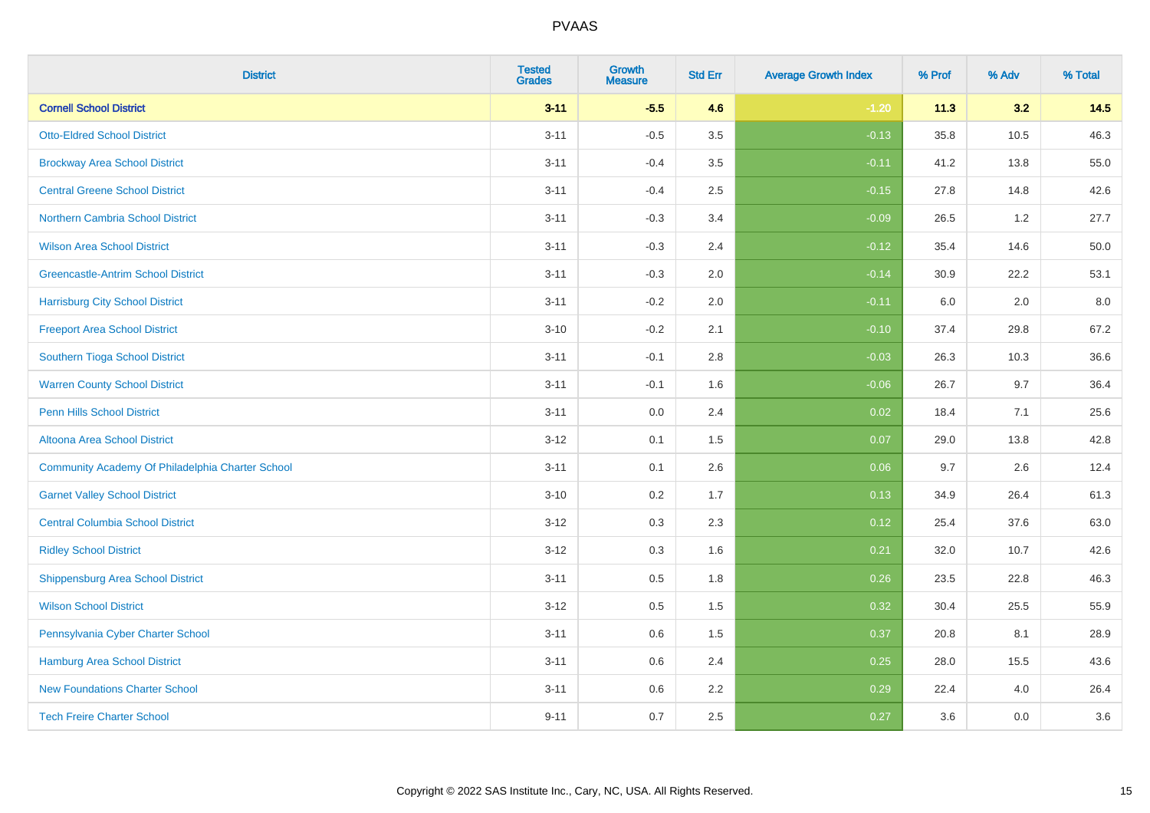| <b>District</b>                                  | <b>Tested</b><br><b>Grades</b> | Growth<br><b>Measure</b> | <b>Std Err</b> | <b>Average Growth Index</b> | % Prof | % Adv | % Total |
|--------------------------------------------------|--------------------------------|--------------------------|----------------|-----------------------------|--------|-------|---------|
| <b>Cornell School District</b>                   | $3 - 11$                       | $-5.5$                   | 4.6            | $-1.20$                     | 11.3   | 3.2   | 14.5    |
| <b>Otto-Eldred School District</b>               | $3 - 11$                       | $-0.5$                   | 3.5            | $-0.13$                     | 35.8   | 10.5  | 46.3    |
| <b>Brockway Area School District</b>             | $3 - 11$                       | $-0.4$                   | 3.5            | $-0.11$                     | 41.2   | 13.8  | 55.0    |
| <b>Central Greene School District</b>            | $3 - 11$                       | $-0.4$                   | 2.5            | $-0.15$                     | 27.8   | 14.8  | 42.6    |
| Northern Cambria School District                 | $3 - 11$                       | $-0.3$                   | 3.4            | $-0.09$                     | 26.5   | 1.2   | 27.7    |
| <b>Wilson Area School District</b>               | $3 - 11$                       | $-0.3$                   | 2.4            | $-0.12$                     | 35.4   | 14.6  | 50.0    |
| <b>Greencastle-Antrim School District</b>        | $3 - 11$                       | $-0.3$                   | 2.0            | $-0.14$                     | 30.9   | 22.2  | 53.1    |
| <b>Harrisburg City School District</b>           | $3 - 11$                       | $-0.2$                   | 2.0            | $-0.11$                     | 6.0    | 2.0   | 8.0     |
| <b>Freeport Area School District</b>             | $3 - 10$                       | $-0.2$                   | 2.1            | $-0.10$                     | 37.4   | 29.8  | 67.2    |
| Southern Tioga School District                   | $3 - 11$                       | $-0.1$                   | 2.8            | $-0.03$                     | 26.3   | 10.3  | 36.6    |
| <b>Warren County School District</b>             | $3 - 11$                       | $-0.1$                   | 1.6            | $-0.06$                     | 26.7   | 9.7   | 36.4    |
| <b>Penn Hills School District</b>                | $3 - 11$                       | 0.0                      | 2.4            | 0.02                        | 18.4   | 7.1   | 25.6    |
| Altoona Area School District                     | $3 - 12$                       | 0.1                      | 1.5            | 0.07                        | 29.0   | 13.8  | 42.8    |
| Community Academy Of Philadelphia Charter School | $3 - 11$                       | 0.1                      | 2.6            | 0.06                        | 9.7    | 2.6   | 12.4    |
| <b>Garnet Valley School District</b>             | $3 - 10$                       | 0.2                      | 1.7            | 0.13                        | 34.9   | 26.4  | 61.3    |
| <b>Central Columbia School District</b>          | $3 - 12$                       | 0.3                      | 2.3            | 0.12                        | 25.4   | 37.6  | 63.0    |
| <b>Ridley School District</b>                    | $3 - 12$                       | 0.3                      | 1.6            | 0.21                        | 32.0   | 10.7  | 42.6    |
| <b>Shippensburg Area School District</b>         | $3 - 11$                       | 0.5                      | 1.8            | 0.26                        | 23.5   | 22.8  | 46.3    |
| <b>Wilson School District</b>                    | $3 - 12$                       | 0.5                      | 1.5            | 0.32                        | 30.4   | 25.5  | 55.9    |
| Pennsylvania Cyber Charter School                | $3 - 11$                       | 0.6                      | 1.5            | 0.37                        | 20.8   | 8.1   | 28.9    |
| Hamburg Area School District                     | $3 - 11$                       | 0.6                      | 2.4            | 0.25                        | 28.0   | 15.5  | 43.6    |
| <b>New Foundations Charter School</b>            | $3 - 11$                       | 0.6                      | 2.2            | 0.29                        | 22.4   | 4.0   | 26.4    |
| <b>Tech Freire Charter School</b>                | $9 - 11$                       | 0.7                      | 2.5            | 0.27                        | 3.6    | 0.0   | 3.6     |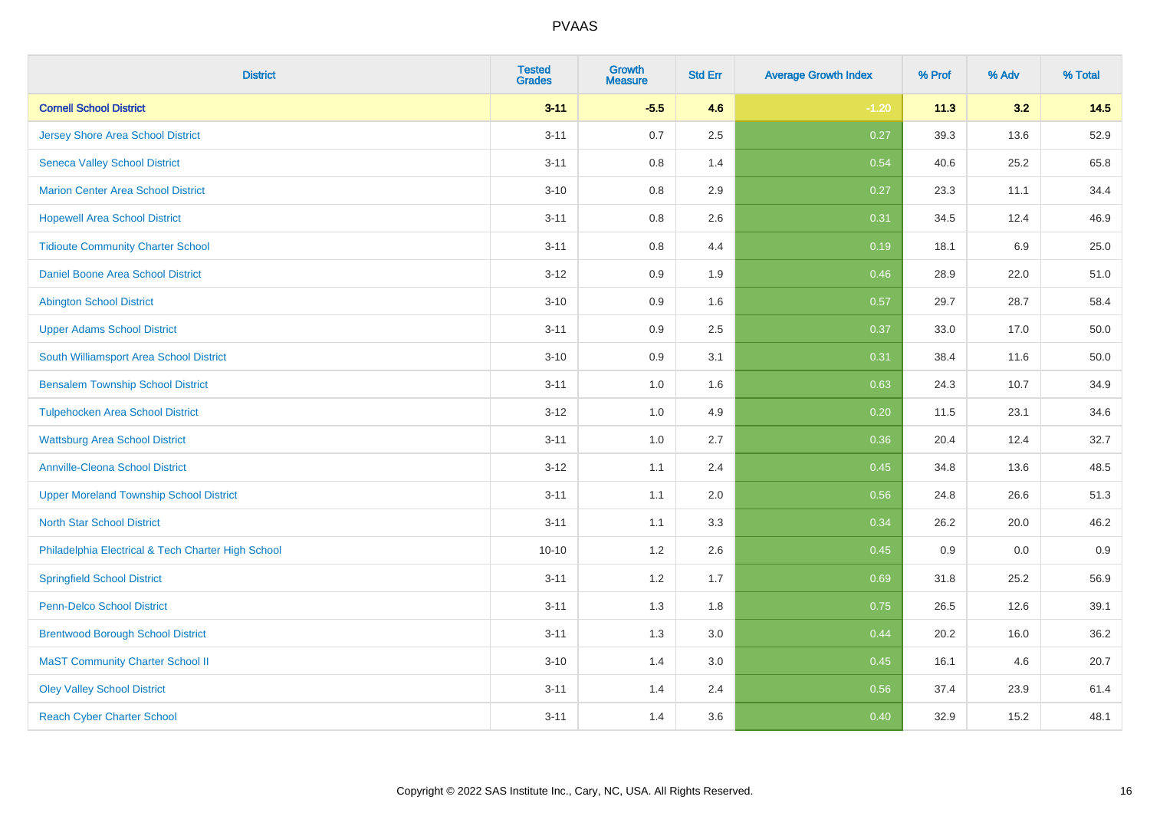| <b>District</b>                                    | <b>Tested</b><br><b>Grades</b> | <b>Growth</b><br><b>Measure</b> | <b>Std Err</b> | <b>Average Growth Index</b> | % Prof | % Adv | % Total |
|----------------------------------------------------|--------------------------------|---------------------------------|----------------|-----------------------------|--------|-------|---------|
| <b>Cornell School District</b>                     | $3 - 11$                       | $-5.5$                          | 4.6            | $-1.20$                     | 11.3   | 3.2   | 14.5    |
| <b>Jersey Shore Area School District</b>           | $3 - 11$                       | $0.7\,$                         | 2.5            | 0.27                        | 39.3   | 13.6  | 52.9    |
| <b>Seneca Valley School District</b>               | $3 - 11$                       | 0.8                             | 1.4            | 0.54                        | 40.6   | 25.2  | 65.8    |
| <b>Marion Center Area School District</b>          | $3 - 10$                       | $0.8\,$                         | 2.9            | 0.27                        | 23.3   | 11.1  | 34.4    |
| <b>Hopewell Area School District</b>               | $3 - 11$                       | 0.8                             | 2.6            | 0.31                        | 34.5   | 12.4  | 46.9    |
| <b>Tidioute Community Charter School</b>           | $3 - 11$                       | 0.8                             | 4.4            | 0.19                        | 18.1   | 6.9   | 25.0    |
| Daniel Boone Area School District                  | $3 - 12$                       | 0.9                             | 1.9            | 0.46                        | 28.9   | 22.0  | 51.0    |
| <b>Abington School District</b>                    | $3 - 10$                       | 0.9                             | 1.6            | 0.57                        | 29.7   | 28.7  | 58.4    |
| <b>Upper Adams School District</b>                 | $3 - 11$                       | 0.9                             | 2.5            | 0.37                        | 33.0   | 17.0  | 50.0    |
| South Williamsport Area School District            | $3 - 10$                       | 0.9                             | 3.1            | 0.31                        | 38.4   | 11.6  | 50.0    |
| <b>Bensalem Township School District</b>           | $3 - 11$                       | 1.0                             | 1.6            | 0.63                        | 24.3   | 10.7  | 34.9    |
| <b>Tulpehocken Area School District</b>            | $3 - 12$                       | 1.0                             | 4.9            | 0.20                        | 11.5   | 23.1  | 34.6    |
| <b>Wattsburg Area School District</b>              | $3 - 11$                       | $1.0\,$                         | 2.7            | 0.36                        | 20.4   | 12.4  | 32.7    |
| <b>Annville-Cleona School District</b>             | $3 - 12$                       | 1.1                             | 2.4            | 0.45                        | 34.8   | 13.6  | 48.5    |
| <b>Upper Moreland Township School District</b>     | $3 - 11$                       | 1.1                             | 2.0            | 0.56                        | 24.8   | 26.6  | 51.3    |
| <b>North Star School District</b>                  | $3 - 11$                       | 1.1                             | 3.3            | 0.34                        | 26.2   | 20.0  | 46.2    |
| Philadelphia Electrical & Tech Charter High School | $10 - 10$                      | 1.2                             | 2.6            | 0.45                        | 0.9    | 0.0   | 0.9     |
| <b>Springfield School District</b>                 | $3 - 11$                       | 1.2                             | 1.7            | 0.69                        | 31.8   | 25.2  | 56.9    |
| <b>Penn-Delco School District</b>                  | $3 - 11$                       | 1.3                             | 1.8            | 0.75                        | 26.5   | 12.6  | 39.1    |
| <b>Brentwood Borough School District</b>           | $3 - 11$                       | 1.3                             | 3.0            | 0.44                        | 20.2   | 16.0  | 36.2    |
| <b>MaST Community Charter School II</b>            | $3 - 10$                       | 1.4                             | 3.0            | 0.45                        | 16.1   | 4.6   | 20.7    |
| <b>Oley Valley School District</b>                 | $3 - 11$                       | 1.4                             | 2.4            | 0.56                        | 37.4   | 23.9  | 61.4    |
| <b>Reach Cyber Charter School</b>                  | $3 - 11$                       | 1.4                             | 3.6            | 0.40                        | 32.9   | 15.2  | 48.1    |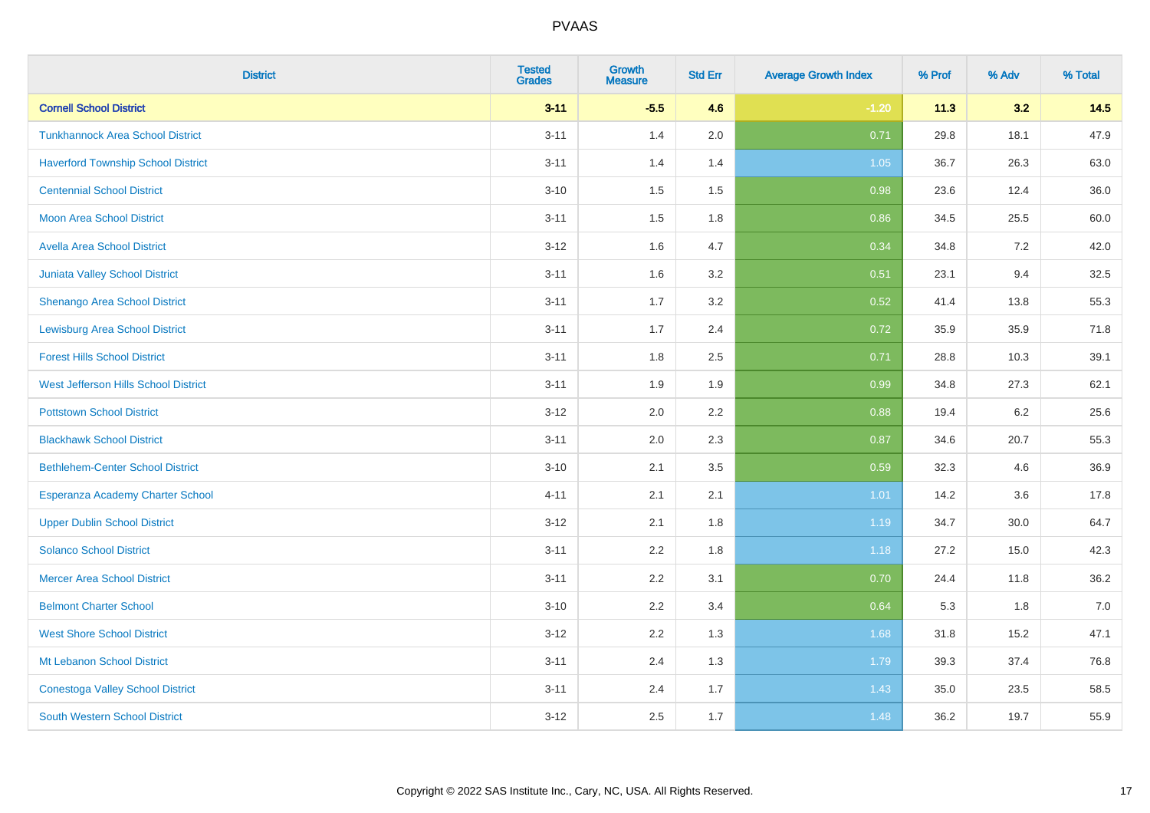| <b>District</b>                           | <b>Tested</b><br><b>Grades</b> | <b>Growth</b><br><b>Measure</b> | <b>Std Err</b> | <b>Average Growth Index</b> | % Prof | % Adv | % Total |
|-------------------------------------------|--------------------------------|---------------------------------|----------------|-----------------------------|--------|-------|---------|
| <b>Cornell School District</b>            | $3 - 11$                       | $-5.5$                          | 4.6            | $-1.20$                     | 11.3   | 3.2   | 14.5    |
| <b>Tunkhannock Area School District</b>   | $3 - 11$                       | 1.4                             | 2.0            | 0.71                        | 29.8   | 18.1  | 47.9    |
| <b>Haverford Township School District</b> | $3 - 11$                       | 1.4                             | 1.4            | 1.05                        | 36.7   | 26.3  | 63.0    |
| <b>Centennial School District</b>         | $3 - 10$                       | 1.5                             | 1.5            | 0.98                        | 23.6   | 12.4  | 36.0    |
| <b>Moon Area School District</b>          | $3 - 11$                       | 1.5                             | 1.8            | 0.86                        | 34.5   | 25.5  | 60.0    |
| <b>Avella Area School District</b>        | $3 - 12$                       | 1.6                             | 4.7            | 0.34                        | 34.8   | 7.2   | 42.0    |
| Juniata Valley School District            | $3 - 11$                       | 1.6                             | 3.2            | 0.51                        | 23.1   | 9.4   | 32.5    |
| <b>Shenango Area School District</b>      | $3 - 11$                       | 1.7                             | 3.2            | 0.52                        | 41.4   | 13.8  | 55.3    |
| <b>Lewisburg Area School District</b>     | $3 - 11$                       | 1.7                             | 2.4            | 0.72                        | 35.9   | 35.9  | 71.8    |
| <b>Forest Hills School District</b>       | $3 - 11$                       | 1.8                             | 2.5            | 0.71                        | 28.8   | 10.3  | 39.1    |
| West Jefferson Hills School District      | $3 - 11$                       | 1.9                             | 1.9            | 0.99                        | 34.8   | 27.3  | 62.1    |
| <b>Pottstown School District</b>          | $3 - 12$                       | 2.0                             | 2.2            | 0.88                        | 19.4   | 6.2   | 25.6    |
| <b>Blackhawk School District</b>          | $3 - 11$                       | 2.0                             | 2.3            | 0.87                        | 34.6   | 20.7  | 55.3    |
| <b>Bethlehem-Center School District</b>   | $3 - 10$                       | 2.1                             | 3.5            | 0.59                        | 32.3   | 4.6   | 36.9    |
| Esperanza Academy Charter School          | $4 - 11$                       | 2.1                             | 2.1            | 1.01                        | 14.2   | 3.6   | 17.8    |
| <b>Upper Dublin School District</b>       | $3 - 12$                       | 2.1                             | 1.8            | 1.19                        | 34.7   | 30.0  | 64.7    |
| <b>Solanco School District</b>            | $3 - 11$                       | 2.2                             | 1.8            | 1.18                        | 27.2   | 15.0  | 42.3    |
| <b>Mercer Area School District</b>        | $3 - 11$                       | 2.2                             | 3.1            | 0.70                        | 24.4   | 11.8  | 36.2    |
| <b>Belmont Charter School</b>             | $3 - 10$                       | 2.2                             | 3.4            | 0.64                        | 5.3    | 1.8   | $7.0$   |
| <b>West Shore School District</b>         | $3 - 12$                       | 2.2                             | 1.3            | 1.68                        | 31.8   | 15.2  | 47.1    |
| Mt Lebanon School District                | $3 - 11$                       | 2.4                             | 1.3            | 1.79                        | 39.3   | 37.4  | 76.8    |
| <b>Conestoga Valley School District</b>   | $3 - 11$                       | 2.4                             | 1.7            | 1.43                        | 35.0   | 23.5  | 58.5    |
| <b>South Western School District</b>      | $3 - 12$                       | 2.5                             | 1.7            | 1.48                        | 36.2   | 19.7  | 55.9    |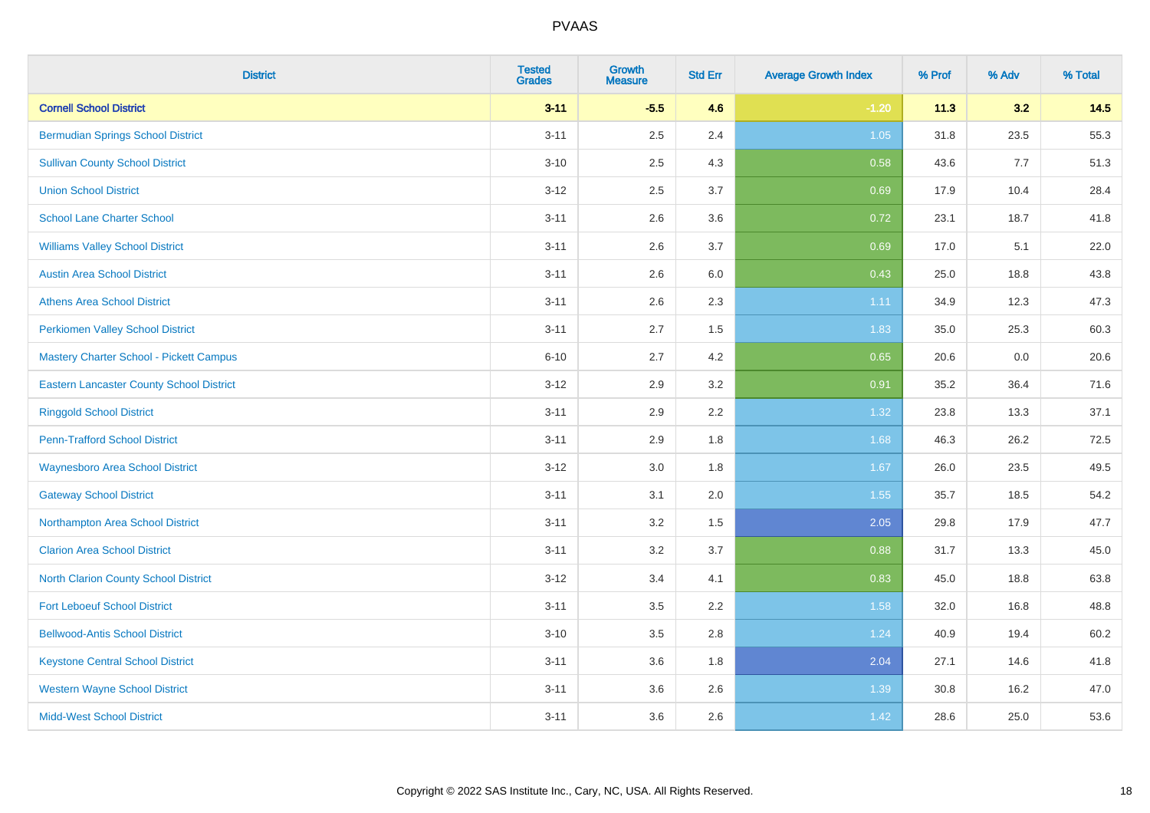| <b>District</b>                                 | <b>Tested</b><br><b>Grades</b> | <b>Growth</b><br><b>Measure</b> | <b>Std Err</b> | <b>Average Growth Index</b> | % Prof | % Adv | % Total |
|-------------------------------------------------|--------------------------------|---------------------------------|----------------|-----------------------------|--------|-------|---------|
| <b>Cornell School District</b>                  | $3 - 11$                       | $-5.5$                          | 4.6            | $-1.20$                     | 11.3   | 3.2   | 14.5    |
| <b>Bermudian Springs School District</b>        | $3 - 11$                       | 2.5                             | 2.4            | 1.05                        | 31.8   | 23.5  | 55.3    |
| <b>Sullivan County School District</b>          | $3 - 10$                       | 2.5                             | 4.3            | 0.58                        | 43.6   | 7.7   | 51.3    |
| <b>Union School District</b>                    | $3 - 12$                       | 2.5                             | 3.7            | 0.69                        | 17.9   | 10.4  | 28.4    |
| <b>School Lane Charter School</b>               | $3 - 11$                       | 2.6                             | 3.6            | 0.72                        | 23.1   | 18.7  | 41.8    |
| <b>Williams Valley School District</b>          | $3 - 11$                       | 2.6                             | 3.7            | 0.69                        | 17.0   | 5.1   | 22.0    |
| <b>Austin Area School District</b>              | $3 - 11$                       | 2.6                             | 6.0            | 0.43                        | 25.0   | 18.8  | 43.8    |
| <b>Athens Area School District</b>              | $3 - 11$                       | 2.6                             | 2.3            | 1.11                        | 34.9   | 12.3  | 47.3    |
| <b>Perkiomen Valley School District</b>         | $3 - 11$                       | 2.7                             | 1.5            | 1.83                        | 35.0   | 25.3  | 60.3    |
| <b>Mastery Charter School - Pickett Campus</b>  | $6 - 10$                       | 2.7                             | 4.2            | 0.65                        | 20.6   | 0.0   | 20.6    |
| <b>Eastern Lancaster County School District</b> | $3 - 12$                       | 2.9                             | 3.2            | 0.91                        | 35.2   | 36.4  | 71.6    |
| <b>Ringgold School District</b>                 | $3 - 11$                       | 2.9                             | 2.2            | 1.32                        | 23.8   | 13.3  | 37.1    |
| <b>Penn-Trafford School District</b>            | $3 - 11$                       | 2.9                             | 1.8            | 1.68                        | 46.3   | 26.2  | 72.5    |
| <b>Waynesboro Area School District</b>          | $3 - 12$                       | 3.0                             | 1.8            | 1.67                        | 26.0   | 23.5  | 49.5    |
| <b>Gateway School District</b>                  | $3 - 11$                       | 3.1                             | 2.0            | 1.55                        | 35.7   | 18.5  | 54.2    |
| Northampton Area School District                | $3 - 11$                       | 3.2                             | 1.5            | 2.05                        | 29.8   | 17.9  | 47.7    |
| <b>Clarion Area School District</b>             | $3 - 11$                       | 3.2                             | 3.7            | 0.88                        | 31.7   | 13.3  | 45.0    |
| <b>North Clarion County School District</b>     | $3 - 12$                       | 3.4                             | 4.1            | 0.83                        | 45.0   | 18.8  | 63.8    |
| <b>Fort Leboeuf School District</b>             | $3 - 11$                       | 3.5                             | 2.2            | 1.58                        | 32.0   | 16.8  | 48.8    |
| <b>Bellwood-Antis School District</b>           | $3 - 10$                       | 3.5                             | 2.8            | 1.24                        | 40.9   | 19.4  | 60.2    |
| <b>Keystone Central School District</b>         | $3 - 11$                       | 3.6                             | 1.8            | 2.04                        | 27.1   | 14.6  | 41.8    |
| <b>Western Wayne School District</b>            | $3 - 11$                       | 3.6                             | 2.6            | 1.39                        | 30.8   | 16.2  | 47.0    |
| <b>Midd-West School District</b>                | $3 - 11$                       | 3.6                             | 2.6            | 1.42                        | 28.6   | 25.0  | 53.6    |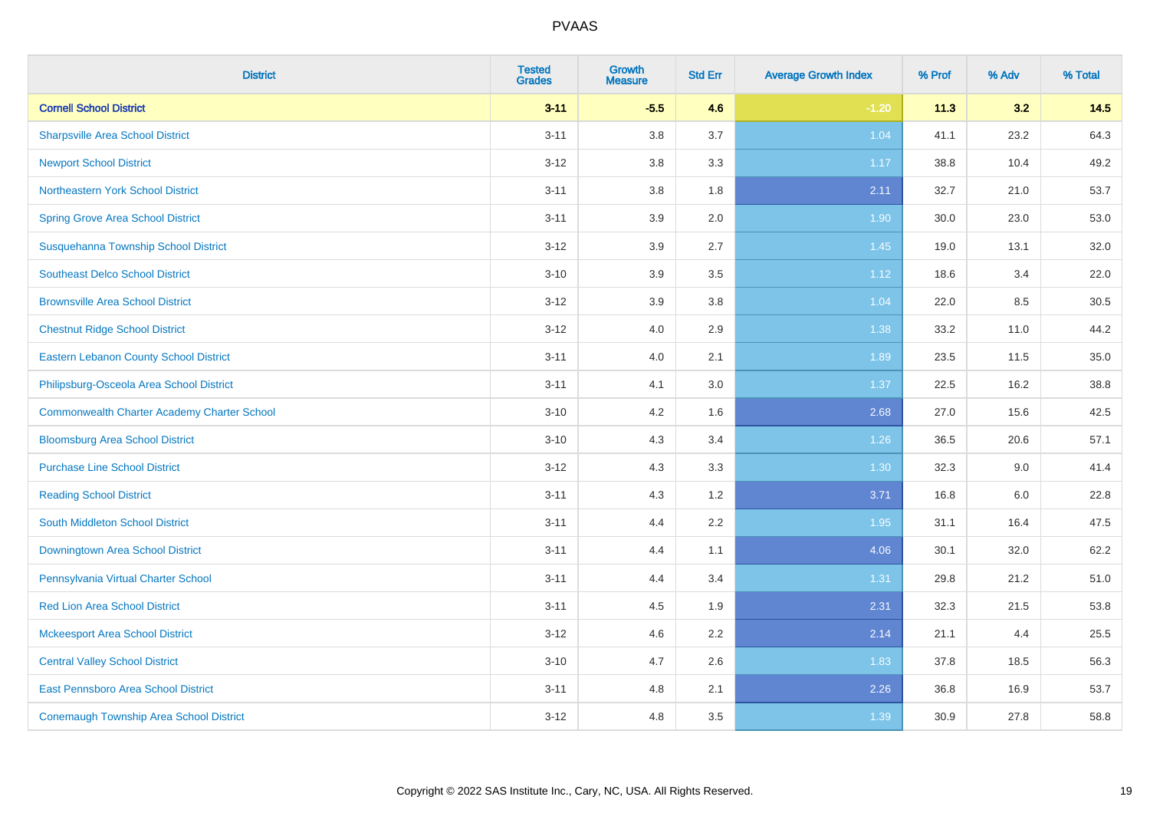| <b>District</b>                                    | <b>Tested</b><br><b>Grades</b> | <b>Growth</b><br><b>Measure</b> | <b>Std Err</b> | <b>Average Growth Index</b> | % Prof | % Adv | % Total |
|----------------------------------------------------|--------------------------------|---------------------------------|----------------|-----------------------------|--------|-------|---------|
| <b>Cornell School District</b>                     | $3 - 11$                       | $-5.5$                          | 4.6            | $-1.20$                     | 11.3   | 3.2   | 14.5    |
| <b>Sharpsville Area School District</b>            | $3 - 11$                       | 3.8                             | 3.7            | 1.04                        | 41.1   | 23.2  | 64.3    |
| <b>Newport School District</b>                     | $3 - 12$                       | 3.8                             | 3.3            | 1.17                        | 38.8   | 10.4  | 49.2    |
| <b>Northeastern York School District</b>           | $3 - 11$                       | $3.8\,$                         | 1.8            | 2.11                        | 32.7   | 21.0  | 53.7    |
| <b>Spring Grove Area School District</b>           | $3 - 11$                       | 3.9                             | 2.0            | 1.90                        | 30.0   | 23.0  | 53.0    |
| Susquehanna Township School District               | $3 - 12$                       | 3.9                             | 2.7            | 1.45                        | 19.0   | 13.1  | 32.0    |
| <b>Southeast Delco School District</b>             | $3 - 10$                       | 3.9                             | 3.5            | 1.12                        | 18.6   | 3.4   | 22.0    |
| <b>Brownsville Area School District</b>            | $3 - 12$                       | 3.9                             | 3.8            | 1.04                        | 22.0   | 8.5   | 30.5    |
| <b>Chestnut Ridge School District</b>              | $3 - 12$                       | 4.0                             | 2.9            | 1.38                        | 33.2   | 11.0  | 44.2    |
| <b>Eastern Lebanon County School District</b>      | $3 - 11$                       | 4.0                             | 2.1            | 1.89                        | 23.5   | 11.5  | 35.0    |
| Philipsburg-Osceola Area School District           | $3 - 11$                       | 4.1                             | 3.0            | 1.37                        | 22.5   | 16.2  | 38.8    |
| <b>Commonwealth Charter Academy Charter School</b> | $3 - 10$                       | 4.2                             | 1.6            | 2.68                        | 27.0   | 15.6  | 42.5    |
| <b>Bloomsburg Area School District</b>             | $3 - 10$                       | 4.3                             | 3.4            | $1.26$                      | 36.5   | 20.6  | 57.1    |
| <b>Purchase Line School District</b>               | $3 - 12$                       | 4.3                             | 3.3            | 1.30                        | 32.3   | 9.0   | 41.4    |
| <b>Reading School District</b>                     | $3 - 11$                       | 4.3                             | 1.2            | 3.71                        | 16.8   | 6.0   | 22.8    |
| South Middleton School District                    | $3 - 11$                       | 4.4                             | 2.2            | 1.95                        | 31.1   | 16.4  | 47.5    |
| Downingtown Area School District                   | $3 - 11$                       | 4.4                             | 1.1            | 4.06                        | 30.1   | 32.0  | 62.2    |
| Pennsylvania Virtual Charter School                | $3 - 11$                       | 4.4                             | 3.4            | 1.31                        | 29.8   | 21.2  | 51.0    |
| <b>Red Lion Area School District</b>               | $3 - 11$                       | 4.5                             | 1.9            | 2.31                        | 32.3   | 21.5  | 53.8    |
| <b>Mckeesport Area School District</b>             | $3 - 12$                       | 4.6                             | 2.2            | 2.14                        | 21.1   | 4.4   | 25.5    |
| <b>Central Valley School District</b>              | $3 - 10$                       | 4.7                             | 2.6            | 1.83                        | 37.8   | 18.5  | 56.3    |
| East Pennsboro Area School District                | $3 - 11$                       | 4.8                             | 2.1            | 2.26                        | 36.8   | 16.9  | 53.7    |
| <b>Conemaugh Township Area School District</b>     | $3 - 12$                       | 4.8                             | 3.5            | 1.39                        | 30.9   | 27.8  | 58.8    |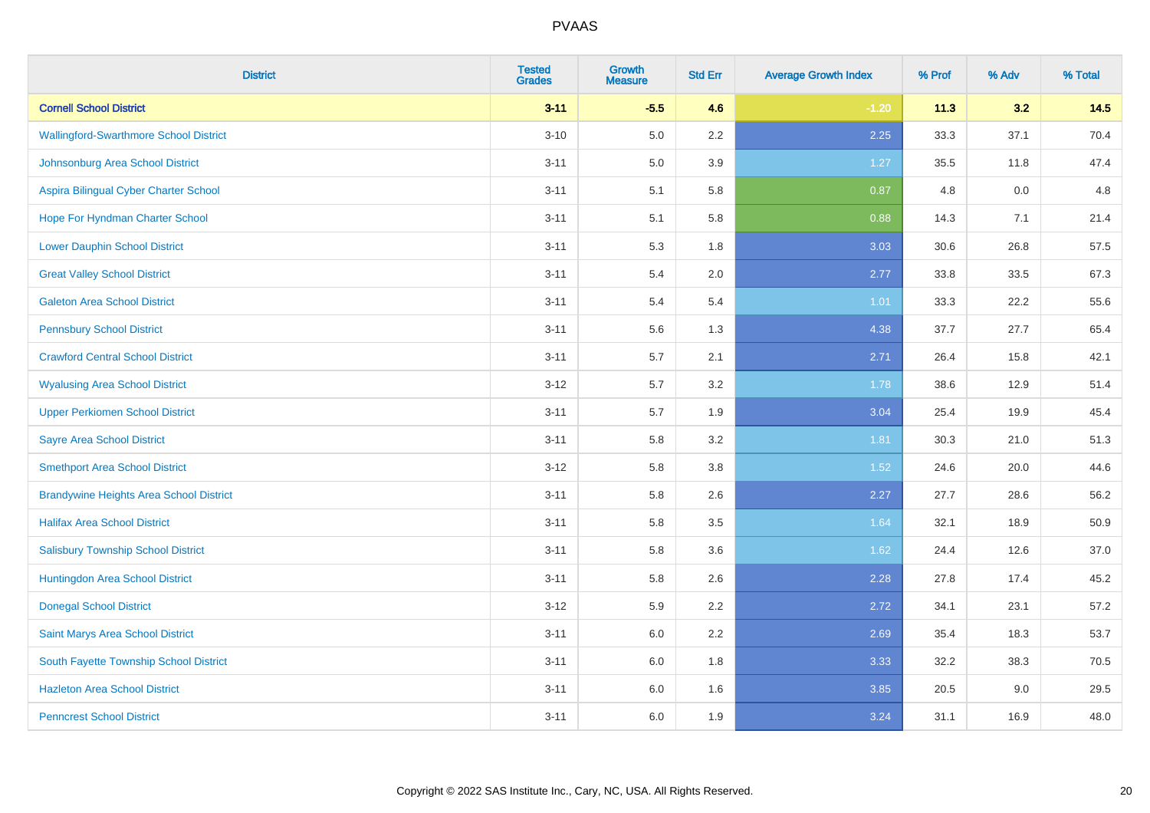| <b>District</b>                                | <b>Tested</b><br><b>Grades</b> | <b>Growth</b><br><b>Measure</b> | <b>Std Err</b> | <b>Average Growth Index</b> | % Prof | % Adv | % Total |
|------------------------------------------------|--------------------------------|---------------------------------|----------------|-----------------------------|--------|-------|---------|
| <b>Cornell School District</b>                 | $3 - 11$                       | $-5.5$                          | 4.6            | $-1.20$                     | 11.3   | 3.2   | 14.5    |
| <b>Wallingford-Swarthmore School District</b>  | $3 - 10$                       | 5.0                             | $2.2\,$        | 2.25                        | 33.3   | 37.1  | 70.4    |
| Johnsonburg Area School District               | $3 - 11$                       | 5.0                             | 3.9            | 1.27                        | 35.5   | 11.8  | 47.4    |
| Aspira Bilingual Cyber Charter School          | $3 - 11$                       | 5.1                             | 5.8            | 0.87                        | 4.8    | 0.0   | 4.8     |
| Hope For Hyndman Charter School                | $3 - 11$                       | 5.1                             | 5.8            | 0.88                        | 14.3   | 7.1   | 21.4    |
| <b>Lower Dauphin School District</b>           | $3 - 11$                       | 5.3                             | 1.8            | 3.03                        | 30.6   | 26.8  | 57.5    |
| <b>Great Valley School District</b>            | $3 - 11$                       | 5.4                             | 2.0            | 2.77                        | 33.8   | 33.5  | 67.3    |
| <b>Galeton Area School District</b>            | $3 - 11$                       | 5.4                             | 5.4            | 1.01                        | 33.3   | 22.2  | 55.6    |
| <b>Pennsbury School District</b>               | $3 - 11$                       | 5.6                             | 1.3            | 4.38                        | 37.7   | 27.7  | 65.4    |
| <b>Crawford Central School District</b>        | $3 - 11$                       | 5.7                             | 2.1            | 2.71                        | 26.4   | 15.8  | 42.1    |
| <b>Wyalusing Area School District</b>          | $3 - 12$                       | 5.7                             | 3.2            | 1.78                        | 38.6   | 12.9  | 51.4    |
| <b>Upper Perkiomen School District</b>         | $3 - 11$                       | 5.7                             | 1.9            | 3.04                        | 25.4   | 19.9  | 45.4    |
| <b>Sayre Area School District</b>              | $3 - 11$                       | 5.8                             | 3.2            | 1.81                        | 30.3   | 21.0  | 51.3    |
| <b>Smethport Area School District</b>          | $3 - 12$                       | 5.8                             | 3.8            | 1.52                        | 24.6   | 20.0  | 44.6    |
| <b>Brandywine Heights Area School District</b> | $3 - 11$                       | 5.8                             | 2.6            | 2.27                        | 27.7   | 28.6  | 56.2    |
| <b>Halifax Area School District</b>            | $3 - 11$                       | 5.8                             | 3.5            | 1.64                        | 32.1   | 18.9  | 50.9    |
| <b>Salisbury Township School District</b>      | $3 - 11$                       | 5.8                             | 3.6            | 1.62                        | 24.4   | 12.6  | 37.0    |
| Huntingdon Area School District                | $3 - 11$                       | 5.8                             | 2.6            | 2.28                        | 27.8   | 17.4  | 45.2    |
| <b>Donegal School District</b>                 | $3 - 12$                       | 5.9                             | 2.2            | 2.72                        | 34.1   | 23.1  | 57.2    |
| Saint Marys Area School District               | $3 - 11$                       | 6.0                             | 2.2            | 2.69                        | 35.4   | 18.3  | 53.7    |
| South Fayette Township School District         | $3 - 11$                       | 6.0                             | 1.8            | 3.33                        | 32.2   | 38.3  | 70.5    |
| <b>Hazleton Area School District</b>           | $3 - 11$                       | 6.0                             | 1.6            | 3.85                        | 20.5   | 9.0   | 29.5    |
| <b>Penncrest School District</b>               | $3 - 11$                       | 6.0                             | 1.9            | 3.24                        | 31.1   | 16.9  | 48.0    |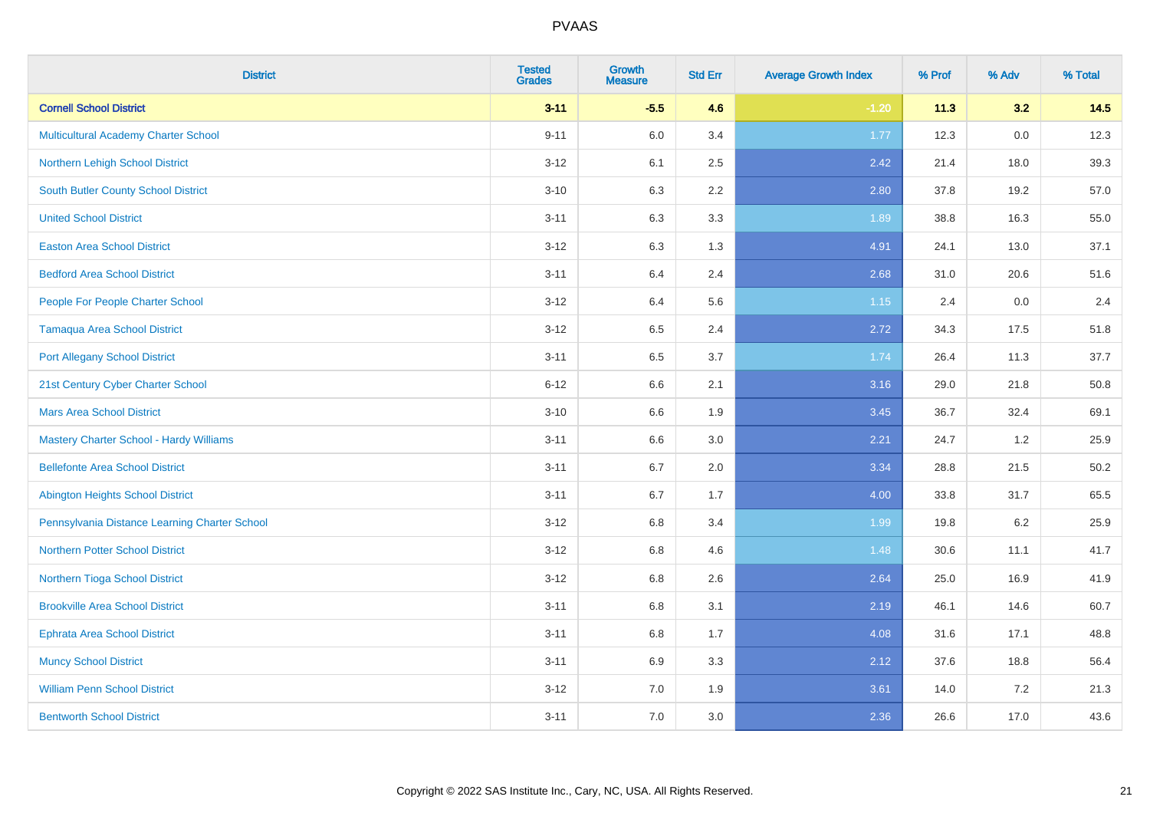| <b>District</b>                                | <b>Tested</b><br><b>Grades</b> | <b>Growth</b><br><b>Measure</b> | <b>Std Err</b> | <b>Average Growth Index</b> | % Prof | % Adv | % Total |
|------------------------------------------------|--------------------------------|---------------------------------|----------------|-----------------------------|--------|-------|---------|
| <b>Cornell School District</b>                 | $3 - 11$                       | $-5.5$                          | 4.6            | $-1.20$                     | 11.3   | 3.2   | 14.5    |
| <b>Multicultural Academy Charter School</b>    | $9 - 11$                       | 6.0                             | 3.4            | 1.77                        | 12.3   | 0.0   | 12.3    |
| Northern Lehigh School District                | $3 - 12$                       | 6.1                             | 2.5            | 2.42                        | 21.4   | 18.0  | 39.3    |
| <b>South Butler County School District</b>     | $3 - 10$                       | 6.3                             | 2.2            | 2.80                        | 37.8   | 19.2  | 57.0    |
| <b>United School District</b>                  | $3 - 11$                       | 6.3                             | 3.3            | 1.89                        | 38.8   | 16.3  | 55.0    |
| <b>Easton Area School District</b>             | $3 - 12$                       | 6.3                             | 1.3            | 4.91                        | 24.1   | 13.0  | 37.1    |
| <b>Bedford Area School District</b>            | $3 - 11$                       | 6.4                             | 2.4            | 2.68                        | 31.0   | 20.6  | 51.6    |
| People For People Charter School               | $3 - 12$                       | 6.4                             | 5.6            | 1.15                        | 2.4    | 0.0   | 2.4     |
| <b>Tamaqua Area School District</b>            | $3 - 12$                       | 6.5                             | 2.4            | 2.72                        | 34.3   | 17.5  | 51.8    |
| <b>Port Allegany School District</b>           | $3 - 11$                       | $6.5\,$                         | 3.7            | 1.74                        | 26.4   | 11.3  | 37.7    |
| 21st Century Cyber Charter School              | $6 - 12$                       | 6.6                             | 2.1            | 3.16                        | 29.0   | 21.8  | 50.8    |
| <b>Mars Area School District</b>               | $3 - 10$                       | 6.6                             | 1.9            | 3.45                        | 36.7   | 32.4  | 69.1    |
| <b>Mastery Charter School - Hardy Williams</b> | $3 - 11$                       | 6.6                             | 3.0            | 2.21                        | 24.7   | 1.2   | 25.9    |
| <b>Bellefonte Area School District</b>         | $3 - 11$                       | 6.7                             | 2.0            | 3.34                        | 28.8   | 21.5  | 50.2    |
| <b>Abington Heights School District</b>        | $3 - 11$                       | 6.7                             | 1.7            | 4.00                        | 33.8   | 31.7  | 65.5    |
| Pennsylvania Distance Learning Charter School  | $3 - 12$                       | 6.8                             | 3.4            | 1.99                        | 19.8   | 6.2   | 25.9    |
| <b>Northern Potter School District</b>         | $3 - 12$                       | 6.8                             | 4.6            | 1.48                        | 30.6   | 11.1  | 41.7    |
| Northern Tioga School District                 | $3 - 12$                       | $6.8\,$                         | 2.6            | 2.64                        | 25.0   | 16.9  | 41.9    |
| <b>Brookville Area School District</b>         | $3 - 11$                       | 6.8                             | 3.1            | 2.19                        | 46.1   | 14.6  | 60.7    |
| <b>Ephrata Area School District</b>            | $3 - 11$                       | 6.8                             | 1.7            | 4.08                        | 31.6   | 17.1  | 48.8    |
| <b>Muncy School District</b>                   | $3 - 11$                       | 6.9                             | 3.3            | 2.12                        | 37.6   | 18.8  | 56.4    |
| <b>William Penn School District</b>            | $3 - 12$                       | 7.0                             | 1.9            | 3.61                        | 14.0   | 7.2   | 21.3    |
| <b>Bentworth School District</b>               | $3 - 11$                       | 7.0                             | 3.0            | 2.36                        | 26.6   | 17.0  | 43.6    |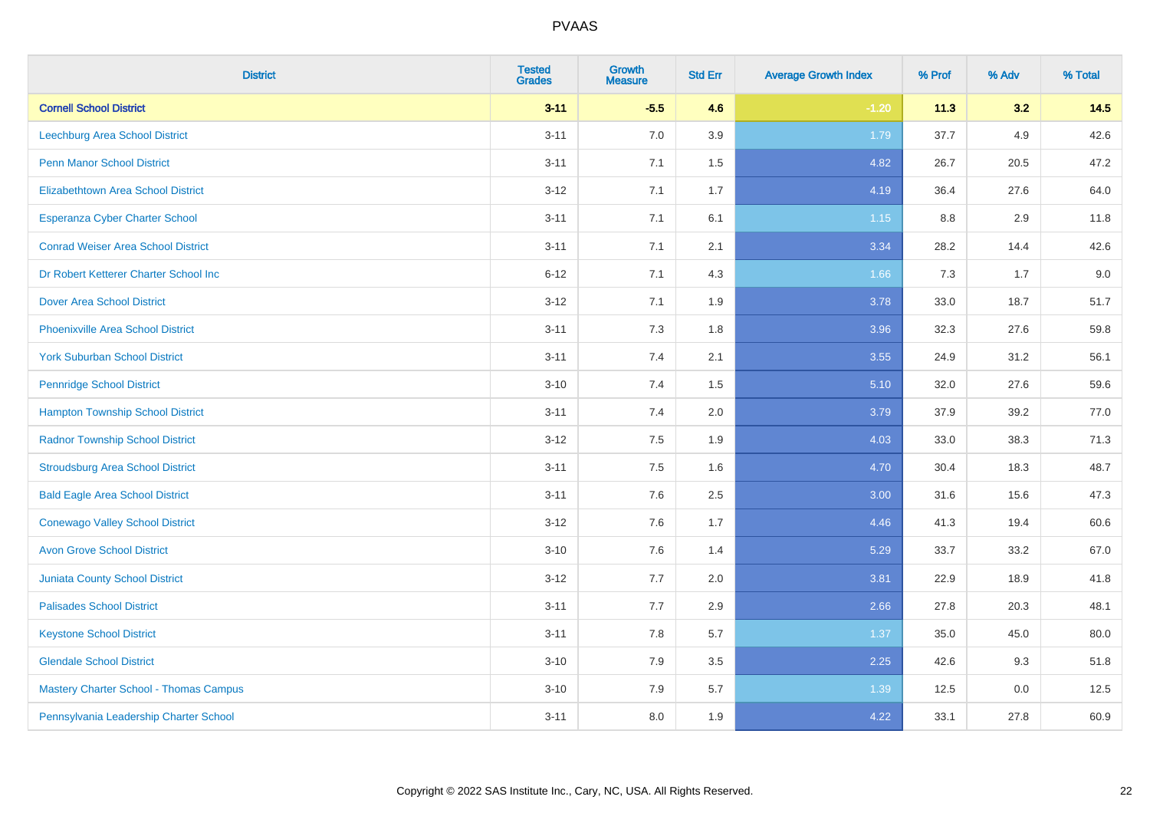| <b>District</b>                               | <b>Tested</b><br><b>Grades</b> | Growth<br><b>Measure</b> | <b>Std Err</b> | <b>Average Growth Index</b> | % Prof | % Adv | % Total |
|-----------------------------------------------|--------------------------------|--------------------------|----------------|-----------------------------|--------|-------|---------|
| <b>Cornell School District</b>                | $3 - 11$                       | $-5.5$                   | 4.6            | $-1.20$                     | 11.3   | 3.2   | 14.5    |
| Leechburg Area School District                | $3 - 11$                       | 7.0                      | 3.9            | 1.79                        | 37.7   | 4.9   | 42.6    |
| <b>Penn Manor School District</b>             | $3 - 11$                       | 7.1                      | 1.5            | 4.82                        | 26.7   | 20.5  | 47.2    |
| <b>Elizabethtown Area School District</b>     | $3 - 12$                       | 7.1                      | 1.7            | 4.19                        | 36.4   | 27.6  | 64.0    |
| <b>Esperanza Cyber Charter School</b>         | $3 - 11$                       | 7.1                      | 6.1            | 1.15                        | 8.8    | 2.9   | 11.8    |
| <b>Conrad Weiser Area School District</b>     | $3 - 11$                       | 7.1                      | 2.1            | 3.34                        | 28.2   | 14.4  | 42.6    |
| Dr Robert Ketterer Charter School Inc         | $6 - 12$                       | 7.1                      | 4.3            | 1.66                        | 7.3    | 1.7   | 9.0     |
| <b>Dover Area School District</b>             | $3 - 12$                       | 7.1                      | 1.9            | 3.78                        | 33.0   | 18.7  | 51.7    |
| <b>Phoenixville Area School District</b>      | $3 - 11$                       | 7.3                      | 1.8            | 3.96                        | 32.3   | 27.6  | 59.8    |
| <b>York Suburban School District</b>          | $3 - 11$                       | 7.4                      | 2.1            | 3.55                        | 24.9   | 31.2  | 56.1    |
| <b>Pennridge School District</b>              | $3 - 10$                       | 7.4                      | 1.5            | 5.10                        | 32.0   | 27.6  | 59.6    |
| <b>Hampton Township School District</b>       | $3 - 11$                       | 7.4                      | 2.0            | 3.79                        | 37.9   | 39.2  | 77.0    |
| <b>Radnor Township School District</b>        | $3 - 12$                       | 7.5                      | 1.9            | 4.03                        | 33.0   | 38.3  | 71.3    |
| <b>Stroudsburg Area School District</b>       | $3 - 11$                       | 7.5                      | 1.6            | 4.70                        | 30.4   | 18.3  | 48.7    |
| <b>Bald Eagle Area School District</b>        | $3 - 11$                       | 7.6                      | 2.5            | 3.00                        | 31.6   | 15.6  | 47.3    |
| <b>Conewago Valley School District</b>        | $3 - 12$                       | 7.6                      | 1.7            | 4.46                        | 41.3   | 19.4  | 60.6    |
| <b>Avon Grove School District</b>             | $3 - 10$                       | 7.6                      | 1.4            | 5.29                        | 33.7   | 33.2  | 67.0    |
| <b>Juniata County School District</b>         | $3 - 12$                       | 7.7                      | 2.0            | 3.81                        | 22.9   | 18.9  | 41.8    |
| <b>Palisades School District</b>              | $3 - 11$                       | 7.7                      | 2.9            | 2.66                        | 27.8   | 20.3  | 48.1    |
| <b>Keystone School District</b>               | $3 - 11$                       | 7.8                      | 5.7            | 1.37                        | 35.0   | 45.0  | 80.0    |
| <b>Glendale School District</b>               | $3 - 10$                       | 7.9                      | 3.5            | 2.25                        | 42.6   | 9.3   | 51.8    |
| <b>Mastery Charter School - Thomas Campus</b> | $3 - 10$                       | 7.9                      | 5.7            | 1.39                        | 12.5   | 0.0   | 12.5    |
| Pennsylvania Leadership Charter School        | $3 - 11$                       | 8.0                      | 1.9            | 4.22                        | 33.1   | 27.8  | 60.9    |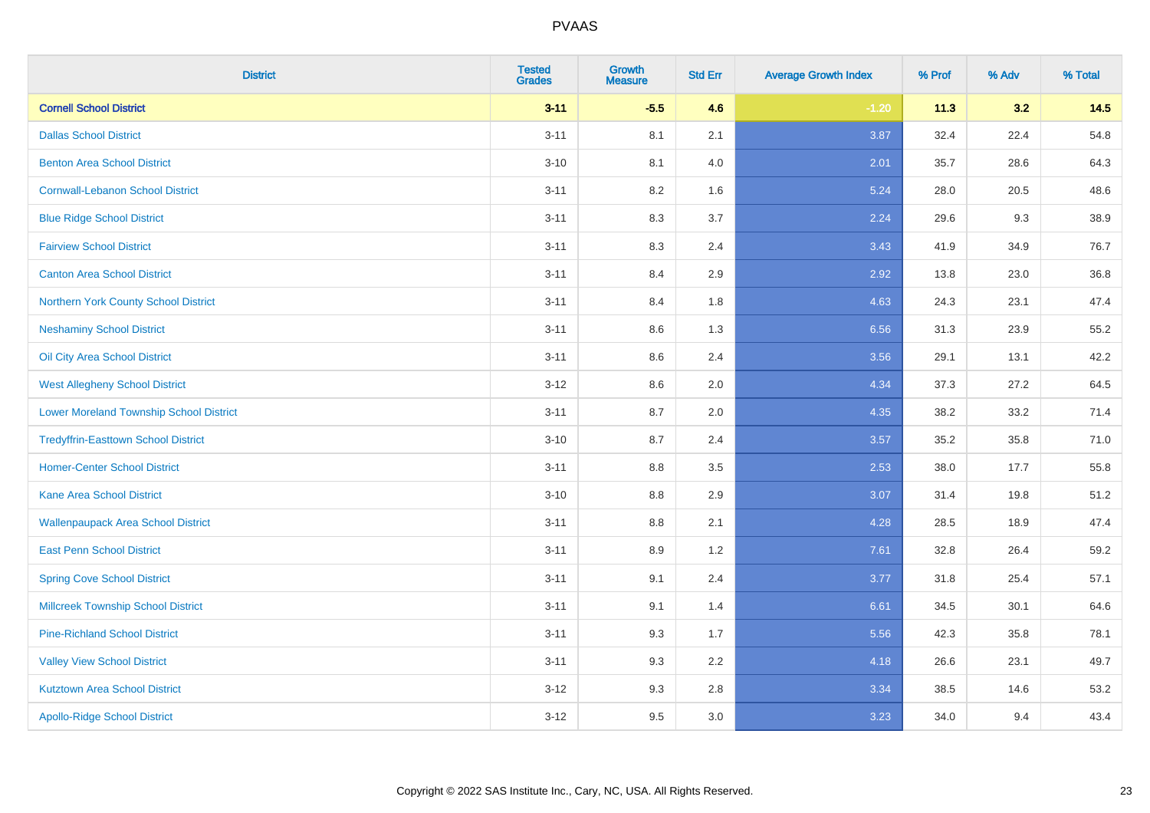| <b>District</b>                                | <b>Tested</b><br><b>Grades</b> | <b>Growth</b><br><b>Measure</b> | <b>Std Err</b> | <b>Average Growth Index</b> | % Prof | % Adv | % Total |
|------------------------------------------------|--------------------------------|---------------------------------|----------------|-----------------------------|--------|-------|---------|
| <b>Cornell School District</b>                 | $3 - 11$                       | $-5.5$                          | 4.6            | $-1.20$                     | 11.3   | 3.2   | 14.5    |
| <b>Dallas School District</b>                  | $3 - 11$                       | 8.1                             | 2.1            | 3.87                        | 32.4   | 22.4  | 54.8    |
| <b>Benton Area School District</b>             | $3 - 10$                       | 8.1                             | 4.0            | 2.01                        | 35.7   | 28.6  | 64.3    |
| <b>Cornwall-Lebanon School District</b>        | $3 - 11$                       | 8.2                             | 1.6            | 5.24                        | 28.0   | 20.5  | 48.6    |
| <b>Blue Ridge School District</b>              | $3 - 11$                       | 8.3                             | 3.7            | 2.24                        | 29.6   | 9.3   | 38.9    |
| <b>Fairview School District</b>                | $3 - 11$                       | 8.3                             | 2.4            | 3.43                        | 41.9   | 34.9  | 76.7    |
| <b>Canton Area School District</b>             | $3 - 11$                       | 8.4                             | 2.9            | 2.92                        | 13.8   | 23.0  | 36.8    |
| Northern York County School District           | $3 - 11$                       | 8.4                             | 1.8            | 4.63                        | 24.3   | 23.1  | 47.4    |
| <b>Neshaminy School District</b>               | $3 - 11$                       | 8.6                             | 1.3            | 6.56                        | 31.3   | 23.9  | 55.2    |
| Oil City Area School District                  | $3 - 11$                       | 8.6                             | 2.4            | 3.56                        | 29.1   | 13.1  | 42.2    |
| <b>West Allegheny School District</b>          | $3 - 12$                       | 8.6                             | 2.0            | 4.34                        | 37.3   | 27.2  | 64.5    |
| <b>Lower Moreland Township School District</b> | $3 - 11$                       | 8.7                             | 2.0            | 4.35                        | 38.2   | 33.2  | 71.4    |
| <b>Tredyffrin-Easttown School District</b>     | $3 - 10$                       | 8.7                             | 2.4            | 3.57                        | 35.2   | 35.8  | 71.0    |
| <b>Homer-Center School District</b>            | $3 - 11$                       | 8.8                             | 3.5            | 2.53                        | 38.0   | 17.7  | 55.8    |
| <b>Kane Area School District</b>               | $3 - 10$                       | 8.8                             | 2.9            | 3.07                        | 31.4   | 19.8  | 51.2    |
| <b>Wallenpaupack Area School District</b>      | $3 - 11$                       | $8.8\,$                         | 2.1            | 4.28                        | 28.5   | 18.9  | 47.4    |
| <b>East Penn School District</b>               | $3 - 11$                       | 8.9                             | 1.2            | 7.61                        | 32.8   | 26.4  | 59.2    |
| <b>Spring Cove School District</b>             | $3 - 11$                       | 9.1                             | 2.4            | 3.77                        | 31.8   | 25.4  | 57.1    |
| <b>Millcreek Township School District</b>      | $3 - 11$                       | 9.1                             | 1.4            | 6.61                        | 34.5   | 30.1  | 64.6    |
| <b>Pine-Richland School District</b>           | $3 - 11$                       | 9.3                             | 1.7            | 5.56                        | 42.3   | 35.8  | 78.1    |
| <b>Valley View School District</b>             | $3 - 11$                       | 9.3                             | 2.2            | 4.18                        | 26.6   | 23.1  | 49.7    |
| <b>Kutztown Area School District</b>           | $3 - 12$                       | 9.3                             | 2.8            | 3.34                        | 38.5   | 14.6  | 53.2    |
| <b>Apollo-Ridge School District</b>            | $3 - 12$                       | 9.5                             | 3.0            | 3.23                        | 34.0   | 9.4   | 43.4    |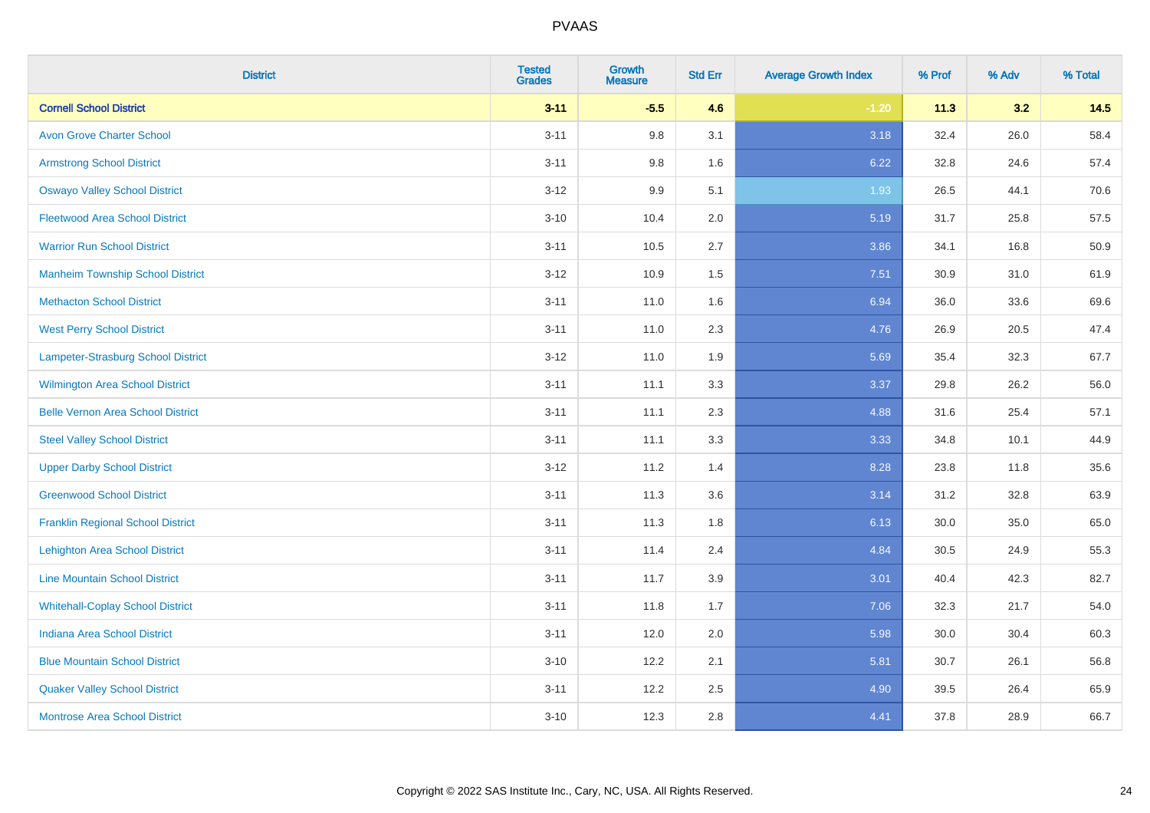| <b>District</b>                          | <b>Tested</b><br><b>Grades</b> | <b>Growth</b><br><b>Measure</b> | <b>Std Err</b> | <b>Average Growth Index</b> | % Prof | % Adv | % Total |
|------------------------------------------|--------------------------------|---------------------------------|----------------|-----------------------------|--------|-------|---------|
| <b>Cornell School District</b>           | $3 - 11$                       | $-5.5$                          | 4.6            | $-1.20$                     | 11.3   | 3.2   | 14.5    |
| <b>Avon Grove Charter School</b>         | $3 - 11$                       | 9.8                             | 3.1            | 3.18                        | 32.4   | 26.0  | 58.4    |
| <b>Armstrong School District</b>         | $3 - 11$                       | 9.8                             | 1.6            | 6.22                        | 32.8   | 24.6  | 57.4    |
| <b>Oswayo Valley School District</b>     | $3 - 12$                       | 9.9                             | 5.1            | 1.93                        | 26.5   | 44.1  | 70.6    |
| <b>Fleetwood Area School District</b>    | $3 - 10$                       | 10.4                            | 2.0            | 5.19                        | 31.7   | 25.8  | 57.5    |
| <b>Warrior Run School District</b>       | $3 - 11$                       | 10.5                            | 2.7            | 3.86                        | 34.1   | 16.8  | 50.9    |
| <b>Manheim Township School District</b>  | $3 - 12$                       | 10.9                            | 1.5            | 7.51                        | 30.9   | 31.0  | 61.9    |
| <b>Methacton School District</b>         | $3 - 11$                       | 11.0                            | 1.6            | 6.94                        | 36.0   | 33.6  | 69.6    |
| <b>West Perry School District</b>        | $3 - 11$                       | 11.0                            | 2.3            | 4.76                        | 26.9   | 20.5  | 47.4    |
| Lampeter-Strasburg School District       | $3 - 12$                       | 11.0                            | 1.9            | 5.69                        | 35.4   | 32.3  | 67.7    |
| Wilmington Area School District          | $3 - 11$                       | 11.1                            | 3.3            | 3.37                        | 29.8   | 26.2  | 56.0    |
| <b>Belle Vernon Area School District</b> | $3 - 11$                       | 11.1                            | 2.3            | 4.88                        | 31.6   | 25.4  | 57.1    |
| <b>Steel Valley School District</b>      | $3 - 11$                       | 11.1                            | 3.3            | 3.33                        | 34.8   | 10.1  | 44.9    |
| <b>Upper Darby School District</b>       | $3-12$                         | 11.2                            | 1.4            | 8.28                        | 23.8   | 11.8  | 35.6    |
| <b>Greenwood School District</b>         | $3 - 11$                       | 11.3                            | 3.6            | 3.14                        | 31.2   | 32.8  | 63.9    |
| <b>Franklin Regional School District</b> | $3 - 11$                       | 11.3                            | 1.8            | 6.13                        | 30.0   | 35.0  | 65.0    |
| <b>Lehighton Area School District</b>    | $3 - 11$                       | 11.4                            | 2.4            | 4.84                        | 30.5   | 24.9  | 55.3    |
| <b>Line Mountain School District</b>     | $3 - 11$                       | 11.7                            | 3.9            | 3.01                        | 40.4   | 42.3  | 82.7    |
| <b>Whitehall-Coplay School District</b>  | $3 - 11$                       | 11.8                            | 1.7            | 7.06                        | 32.3   | 21.7  | 54.0    |
| <b>Indiana Area School District</b>      | $3 - 11$                       | 12.0                            | 2.0            | 5.98                        | 30.0   | 30.4  | 60.3    |
| <b>Blue Mountain School District</b>     | $3 - 10$                       | 12.2                            | 2.1            | 5.81                        | 30.7   | 26.1  | 56.8    |
| <b>Quaker Valley School District</b>     | $3 - 11$                       | 12.2                            | 2.5            | 4.90                        | 39.5   | 26.4  | 65.9    |
| <b>Montrose Area School District</b>     | $3 - 10$                       | 12.3                            | 2.8            | 4.41                        | 37.8   | 28.9  | 66.7    |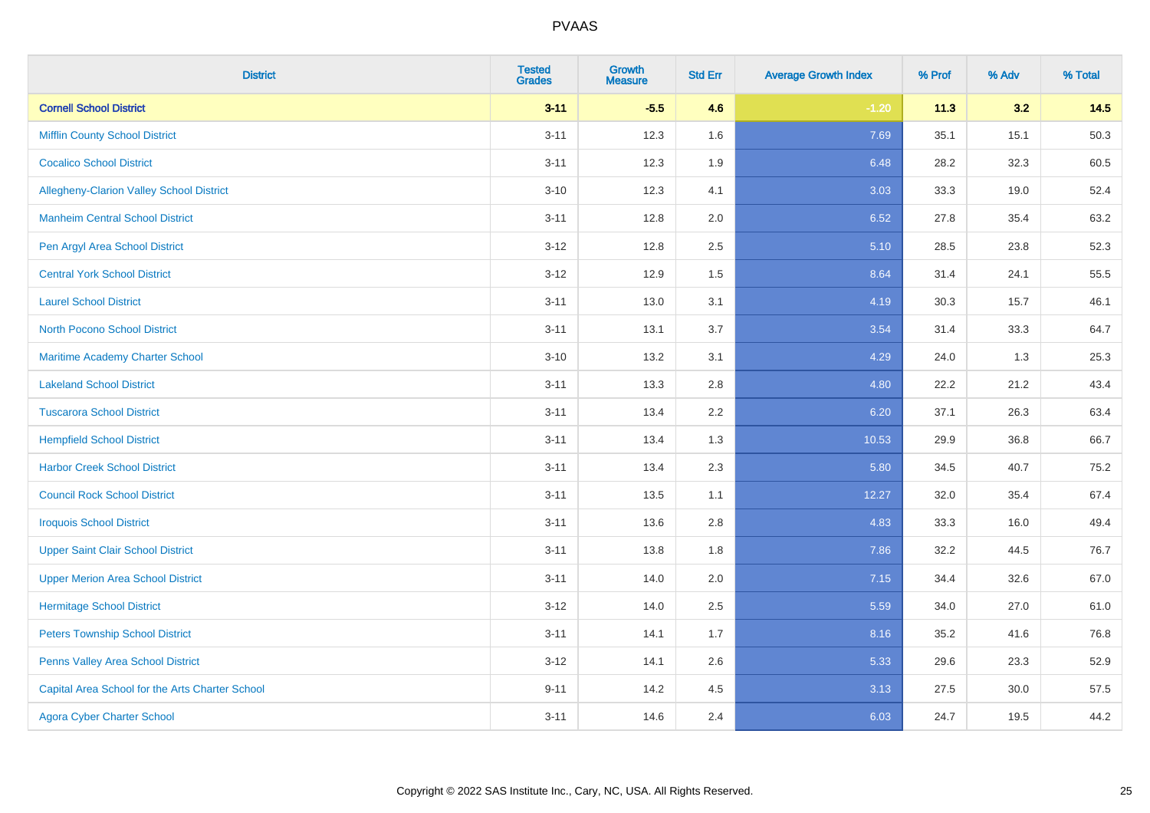| <b>District</b>                                 | <b>Tested</b><br><b>Grades</b> | <b>Growth</b><br><b>Measure</b> | <b>Std Err</b> | <b>Average Growth Index</b> | % Prof | % Adv | % Total |
|-------------------------------------------------|--------------------------------|---------------------------------|----------------|-----------------------------|--------|-------|---------|
| <b>Cornell School District</b>                  | $3 - 11$                       | $-5.5$                          | 4.6            | $-1.20$                     | 11.3   | 3.2   | 14.5    |
| <b>Mifflin County School District</b>           | $3 - 11$                       | 12.3                            | 1.6            | 7.69                        | 35.1   | 15.1  | 50.3    |
| <b>Cocalico School District</b>                 | $3 - 11$                       | 12.3                            | 1.9            | 6.48                        | 28.2   | 32.3  | 60.5    |
| <b>Allegheny-Clarion Valley School District</b> | $3 - 10$                       | 12.3                            | 4.1            | 3.03                        | 33.3   | 19.0  | 52.4    |
| <b>Manheim Central School District</b>          | $3 - 11$                       | 12.8                            | 2.0            | 6.52                        | 27.8   | 35.4  | 63.2    |
| Pen Argyl Area School District                  | $3 - 12$                       | 12.8                            | 2.5            | 5.10                        | 28.5   | 23.8  | 52.3    |
| <b>Central York School District</b>             | $3 - 12$                       | 12.9                            | 1.5            | 8.64                        | 31.4   | 24.1  | 55.5    |
| <b>Laurel School District</b>                   | $3 - 11$                       | 13.0                            | 3.1            | 4.19                        | 30.3   | 15.7  | 46.1    |
| <b>North Pocono School District</b>             | $3 - 11$                       | 13.1                            | 3.7            | 3.54                        | 31.4   | 33.3  | 64.7    |
| <b>Maritime Academy Charter School</b>          | $3 - 10$                       | 13.2                            | 3.1            | 4.29                        | 24.0   | 1.3   | 25.3    |
| <b>Lakeland School District</b>                 | $3 - 11$                       | 13.3                            | 2.8            | 4.80                        | 22.2   | 21.2  | 43.4    |
| <b>Tuscarora School District</b>                | $3 - 11$                       | 13.4                            | 2.2            | 6.20                        | 37.1   | 26.3  | 63.4    |
| <b>Hempfield School District</b>                | $3 - 11$                       | 13.4                            | 1.3            | 10.53                       | 29.9   | 36.8  | 66.7    |
| <b>Harbor Creek School District</b>             | $3 - 11$                       | 13.4                            | 2.3            | 5.80                        | 34.5   | 40.7  | 75.2    |
| <b>Council Rock School District</b>             | $3 - 11$                       | 13.5                            | 1.1            | 12.27                       | 32.0   | 35.4  | 67.4    |
| <b>Iroquois School District</b>                 | $3 - 11$                       | 13.6                            | 2.8            | 4.83                        | 33.3   | 16.0  | 49.4    |
| <b>Upper Saint Clair School District</b>        | $3 - 11$                       | 13.8                            | 1.8            | 7.86                        | 32.2   | 44.5  | 76.7    |
| <b>Upper Merion Area School District</b>        | $3 - 11$                       | 14.0                            | 2.0            | 7.15                        | 34.4   | 32.6  | 67.0    |
| <b>Hermitage School District</b>                | $3 - 12$                       | 14.0                            | 2.5            | 5.59                        | 34.0   | 27.0  | 61.0    |
| <b>Peters Township School District</b>          | $3 - 11$                       | 14.1                            | 1.7            | 8.16                        | 35.2   | 41.6  | 76.8    |
| Penns Valley Area School District               | $3-12$                         | 14.1                            | 2.6            | 5.33                        | 29.6   | 23.3  | 52.9    |
| Capital Area School for the Arts Charter School | $9 - 11$                       | 14.2                            | 4.5            | 3.13                        | 27.5   | 30.0  | 57.5    |
| <b>Agora Cyber Charter School</b>               | $3 - 11$                       | 14.6                            | 2.4            | 6.03                        | 24.7   | 19.5  | 44.2    |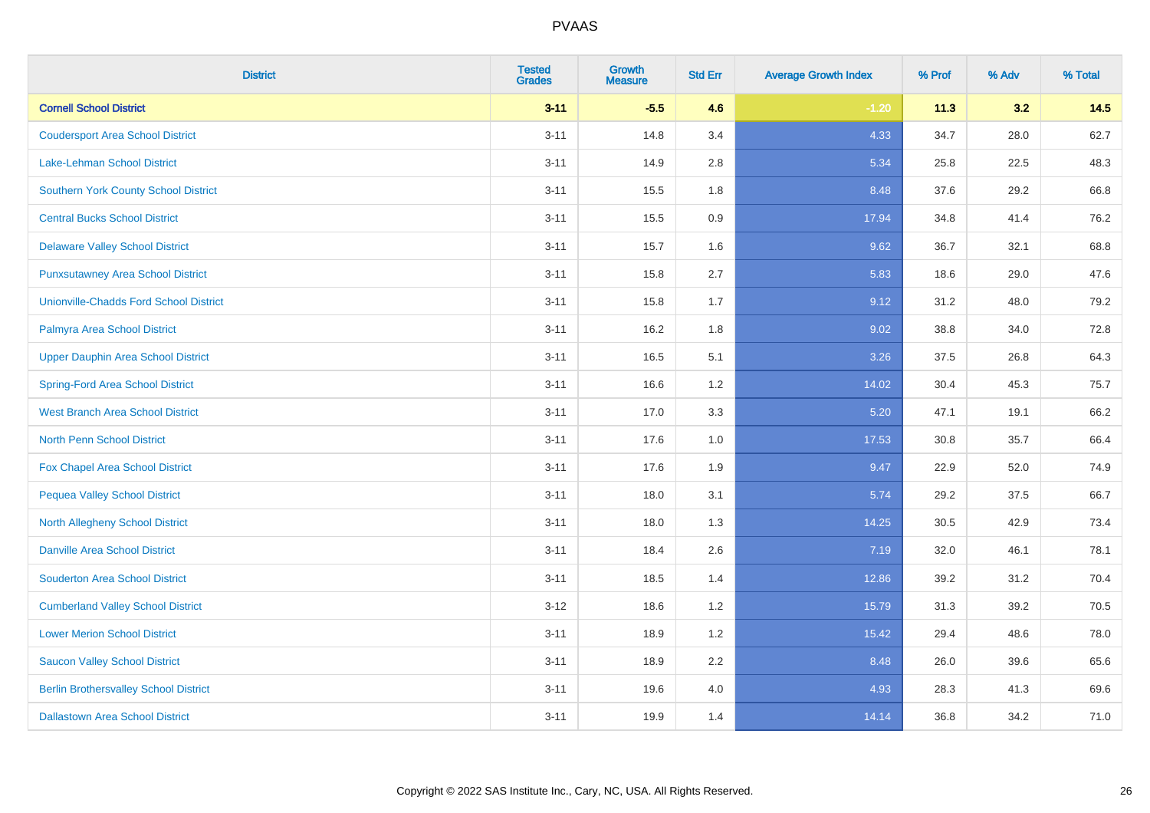| <b>District</b>                               | <b>Tested</b><br><b>Grades</b> | <b>Growth</b><br><b>Measure</b> | <b>Std Err</b> | <b>Average Growth Index</b> | % Prof | % Adv | % Total |
|-----------------------------------------------|--------------------------------|---------------------------------|----------------|-----------------------------|--------|-------|---------|
| <b>Cornell School District</b>                | $3 - 11$                       | $-5.5$                          | 4.6            | $-1.20$                     | 11.3   | 3.2   | 14.5    |
| <b>Coudersport Area School District</b>       | $3 - 11$                       | 14.8                            | 3.4            | 4.33                        | 34.7   | 28.0  | 62.7    |
| Lake-Lehman School District                   | $3 - 11$                       | 14.9                            | 2.8            | 5.34                        | 25.8   | 22.5  | 48.3    |
| <b>Southern York County School District</b>   | $3 - 11$                       | 15.5                            | 1.8            | 8.48                        | 37.6   | 29.2  | 66.8    |
| <b>Central Bucks School District</b>          | $3 - 11$                       | 15.5                            | 0.9            | 17.94                       | 34.8   | 41.4  | 76.2    |
| <b>Delaware Valley School District</b>        | $3 - 11$                       | 15.7                            | 1.6            | 9.62                        | 36.7   | 32.1  | 68.8    |
| <b>Punxsutawney Area School District</b>      | $3 - 11$                       | 15.8                            | 2.7            | 5.83                        | 18.6   | 29.0  | 47.6    |
| <b>Unionville-Chadds Ford School District</b> | $3 - 11$                       | 15.8                            | 1.7            | 9.12                        | 31.2   | 48.0  | 79.2    |
| Palmyra Area School District                  | $3 - 11$                       | 16.2                            | 1.8            | 9.02                        | 38.8   | 34.0  | 72.8    |
| <b>Upper Dauphin Area School District</b>     | $3 - 11$                       | 16.5                            | 5.1            | 3.26                        | 37.5   | 26.8  | 64.3    |
| <b>Spring-Ford Area School District</b>       | $3 - 11$                       | 16.6                            | 1.2            | 14.02                       | 30.4   | 45.3  | 75.7    |
| <b>West Branch Area School District</b>       | $3 - 11$                       | 17.0                            | 3.3            | 5.20                        | 47.1   | 19.1  | 66.2    |
| North Penn School District                    | $3 - 11$                       | 17.6                            | 1.0            | 17.53                       | 30.8   | 35.7  | 66.4    |
| <b>Fox Chapel Area School District</b>        | $3 - 11$                       | 17.6                            | 1.9            | 9.47                        | 22.9   | 52.0  | 74.9    |
| <b>Pequea Valley School District</b>          | $3 - 11$                       | 18.0                            | 3.1            | 5.74                        | 29.2   | 37.5  | 66.7    |
| North Allegheny School District               | $3 - 11$                       | 18.0                            | 1.3            | 14.25                       | 30.5   | 42.9  | 73.4    |
| <b>Danville Area School District</b>          | $3 - 11$                       | 18.4                            | 2.6            | 7.19                        | 32.0   | 46.1  | 78.1    |
| <b>Souderton Area School District</b>         | $3 - 11$                       | 18.5                            | 1.4            | 12.86                       | 39.2   | 31.2  | 70.4    |
| <b>Cumberland Valley School District</b>      | $3 - 12$                       | 18.6                            | 1.2            | 15.79                       | 31.3   | 39.2  | 70.5    |
| <b>Lower Merion School District</b>           | $3 - 11$                       | 18.9                            | 1.2            | 15.42                       | 29.4   | 48.6  | 78.0    |
| <b>Saucon Valley School District</b>          | $3 - 11$                       | 18.9                            | 2.2            | 8.48                        | 26.0   | 39.6  | 65.6    |
| <b>Berlin Brothersvalley School District</b>  | $3 - 11$                       | 19.6                            | 4.0            | 4.93                        | 28.3   | 41.3  | 69.6    |
| <b>Dallastown Area School District</b>        | $3 - 11$                       | 19.9                            | 1.4            | 14.14                       | 36.8   | 34.2  | 71.0    |